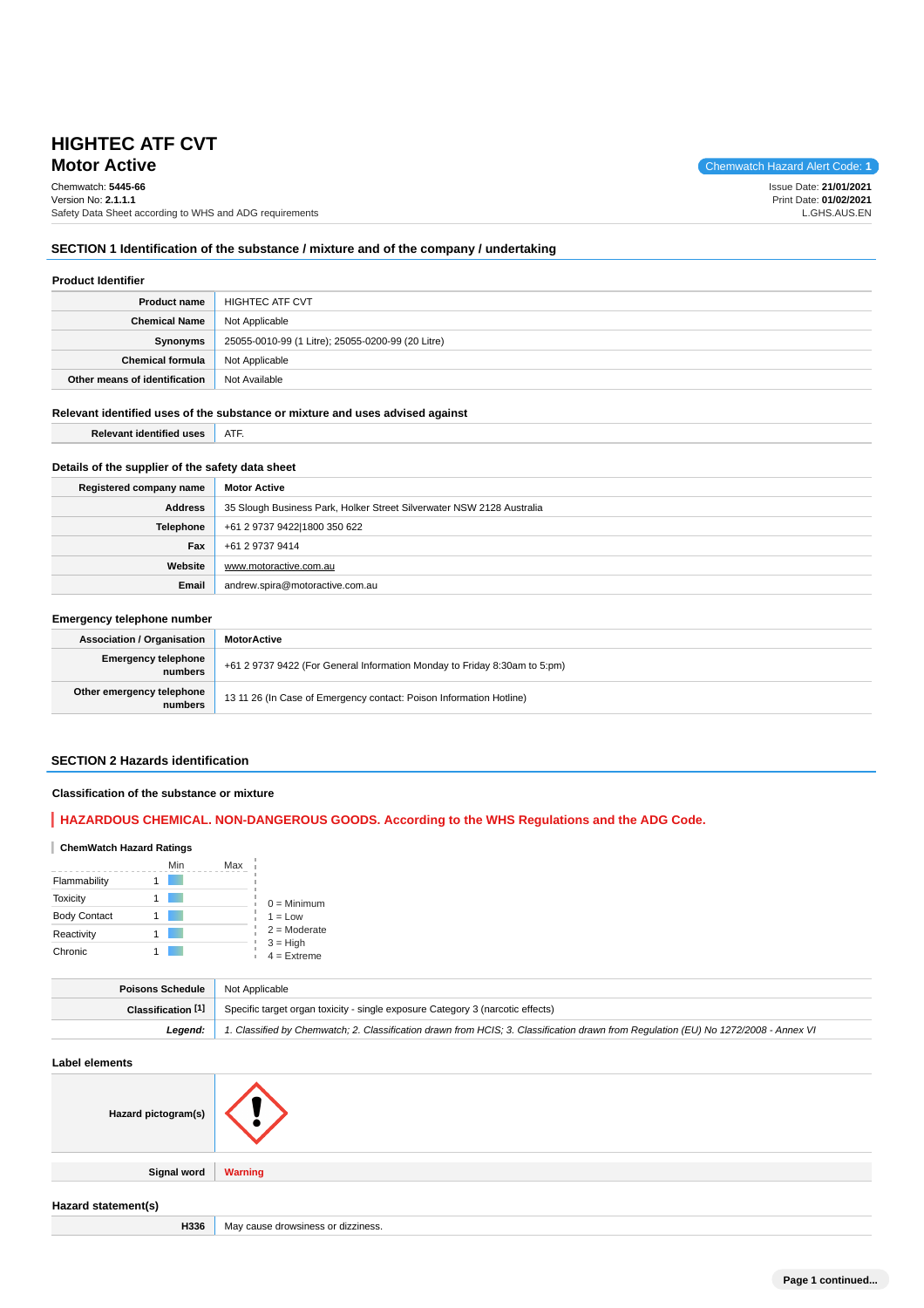# **Motor Active** Chemwatch Hazard Alert Code: 1 **HIGHTEC ATF CVT**

Chemwatch: **5445-66**

Issue Date: **21/01/2021** Print Date: **01/02/2021** L.GHS.AUS.EN

## **SECTION 1 Identification of the substance / mixture and of the company / undertaking**

#### **Product Identifier**

| <b>Product name</b>           | <b>HIGHTEC ATF CVT</b>                            |  |
|-------------------------------|---------------------------------------------------|--|
| <b>Chemical Name</b>          | Not Applicable                                    |  |
| Synonyms                      | 25055-0010-99 (1 Litre); 25055-0200-99 (20 Litre) |  |
| <b>Chemical formula</b>       | Not Applicable                                    |  |
| Other means of identification | Not Available                                     |  |

## **Relevant identified uses of the substance or mixture and uses advised against**

**Relevant identified uses ATF.** 

## **Details of the supplier of the safety data sheet**

| Registered company name | <b>Motor Active</b>                                                   |  |
|-------------------------|-----------------------------------------------------------------------|--|
| <b>Address</b>          | 35 Slough Business Park, Holker Street Silverwater NSW 2128 Australia |  |
| <b>Telephone</b>        | +61 2 9737 9422 1800 350 622                                          |  |
| Fax                     | +61 2 9737 9414                                                       |  |
| Website                 | www.motoractive.com.au                                                |  |
| Email                   | andrew.spira@motoractive.com.au                                       |  |

## **Emergency telephone number**

| <b>Association / Organisation</b>     | <b>MotorActive</b>                                                        |
|---------------------------------------|---------------------------------------------------------------------------|
| <b>Emergency telephone</b><br>numbers | +61 2 9737 9422 (For General Information Monday to Friday 8:30am to 5:pm) |
| Other emergency telephone<br>numbers  | 13 11 26 (In Case of Emergency contact: Poison Information Hotline)       |

## **SECTION 2 Hazards identification**

## **Classification of the substance or mixture**

## **HAZARDOUS CHEMICAL. NON-DANGEROUS GOODS. According to the WHS Regulations and the ADG Code.**

## **ChemWatch Hazard Ratings**

|                     | Min | Max |                             |
|---------------------|-----|-----|-----------------------------|
| Flammability        |     |     |                             |
| <b>Toxicity</b>     |     |     | $0 =$ Minimum               |
| <b>Body Contact</b> |     |     | $1 = Low$                   |
| Reactivity          |     |     | $2 =$ Moderate              |
| Chronic             |     |     | $3 = High$<br>$4 =$ Extreme |

| <b>Poisons Schedule</b> Not Applicable |                                                                                                                                     |  |  |
|----------------------------------------|-------------------------------------------------------------------------------------------------------------------------------------|--|--|
|                                        | <b>Classification [1]</b> Specific target organ toxicity - single exposure Category 3 (narcotic effects)                            |  |  |
| Leaend:                                | 1. Classified by Chemwatch; 2. Classification drawn from HCIS; 3. Classification drawn from Regulation (EU) No 1272/2008 - Annex VI |  |  |

# **Label elements Hazard pictogram(s) Signal word Warning Hazard statement(s)** H336 May cause drowsiness or dizziness.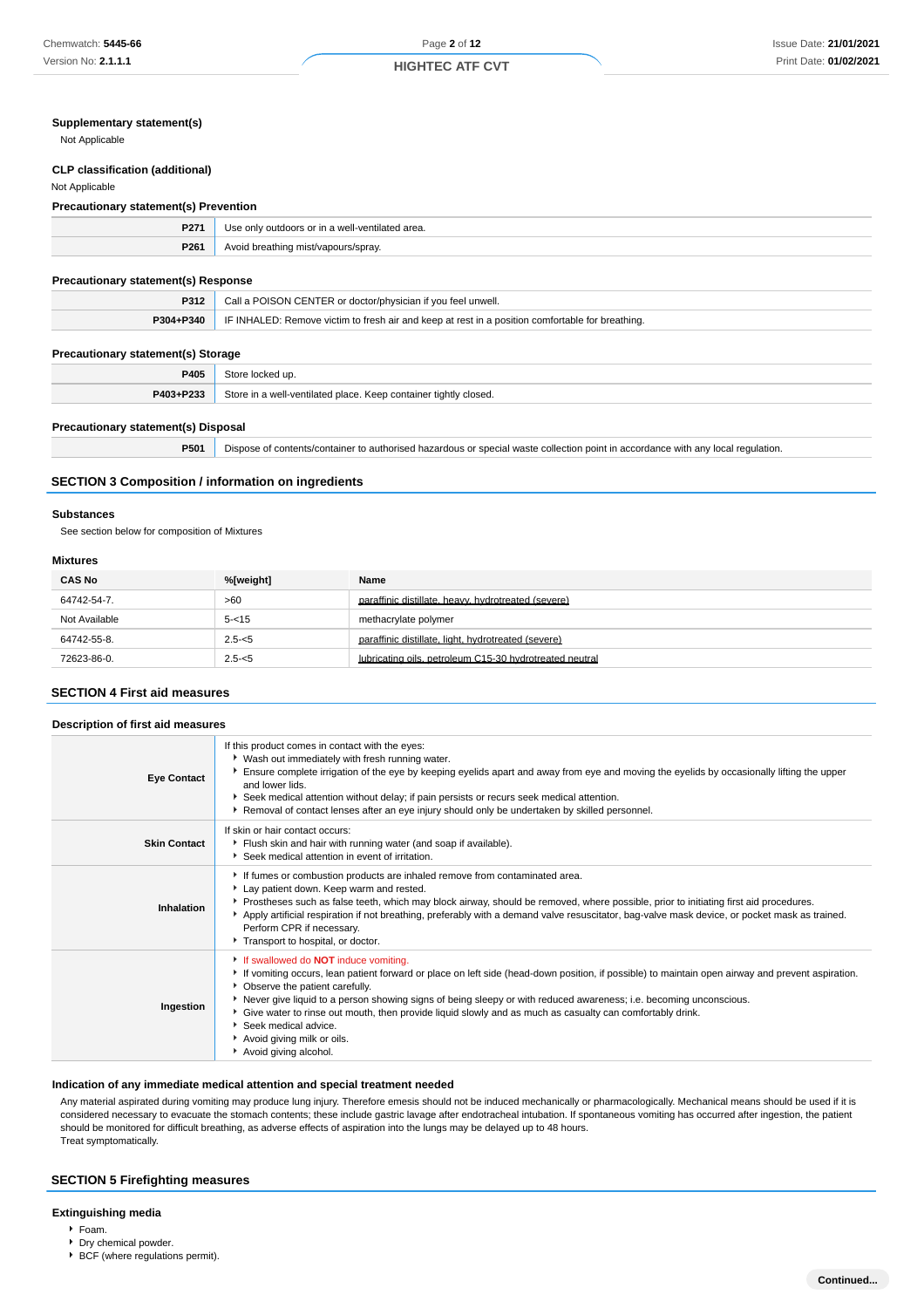## **Supplementary statement(s)**

Not Applicable

## **CLP classification (additional)**

#### Not Applicable

#### **Precautionary statement(s) Prevention**

| P271 | Use only outdoors or in a well-ventilated area. |
|------|-------------------------------------------------|
| P261 | Avoid breathing mist/vapours/spray.             |
|      |                                                 |

## **Precautionary statement(s) Response**

| P312      | Call a POISON CENTER or doctor/physician if you feel unwell.                                     |
|-----------|--------------------------------------------------------------------------------------------------|
| P304+P340 | IF INHALED: Remove victim to fresh air and keep at rest in a position comfortable for breathing. |
|           |                                                                                                  |

## **Precautionary statement(s) Storage**

| P405      |                                                        |
|-----------|--------------------------------------------------------|
| P403+P233 | stor:<br>tilatad nlaca<br>osed.<br>2. CODIDIDO<br>Koop |
|           |                                                        |

## **Precautionary statement(s) Disposal**

|  | <b>P501</b> Dispose of contents/container to authorised hazardous or special waste collection point in accordance with any local regulation. |  |
|--|----------------------------------------------------------------------------------------------------------------------------------------------|--|
|--|----------------------------------------------------------------------------------------------------------------------------------------------|--|

## **SECTION 3 Composition / information on ingredients**

#### **Substances**

See section below for composition of Mixtures

#### **Mixtures**

| <b>CAS No</b> | %[weight] | Name                                                    |
|---------------|-----------|---------------------------------------------------------|
| 64742-54-7.   | >60       | paraffinic distillate, heavy, hydrotreated (severe)     |
| Not Available | $5 - 15$  | methacrylate polymer                                    |
| 64742-55-8.   | $2.5 - 5$ | paraffinic distillate, light, hydrotreated (severe)     |
| 72623-86-0.   | $2.5 - 5$ | lubricating oils, petroleum C15-30 hydrotreated neutral |

## **SECTION 4 First aid measures**

#### **Description of first aid measures Eye Contact** If this product comes in contact with the eyes: Wash out immediately with fresh running water. Ensure complete irrigation of the eye by keeping eyelids apart and away from eye and moving the eyelids by occasionally lifting the upper and lower lids. Seek medical attention without delay; if pain persists or recurs seek medical attention. **Removal of contact lenses after an eye injury should only be undertaken by skilled personnel. Skin Contact** If skin or hair contact occurs: Flush skin and hair with running water (and soap if available). Seek medical attention in event of irritation. **Inhalation** If fumes or combustion products are inhaled remove from contaminated area. Lay patient down. Keep warm and rested. Prostheses such as false teeth, which may block airway, should be removed, where possible, prior to initiating first aid procedures. Apply artificial respiration if not breathing, preferably with a demand valve resuscitator, bag-valve mask device, or pocket mask as trained. Perform CPR if necessary. Transport to hospital, or doctor **Ingestion** If swallowed do **NOT** induce vomiting. If vomiting occurs, lean patient forward or place on left side (head-down position, if possible) to maintain open airway and prevent aspiration. **Changeler** Changeler Carefully. Never give liquid to a person showing signs of being sleepy or with reduced awareness; i.e. becoming unconscious. Give water to rinse out mouth, then provide liquid slowly and as much as casualty can comfortably drink. Seek medical advice. Avoid giving milk or oils. Avoid giving alcohol.

## **Indication of any immediate medical attention and special treatment needed**

Any material aspirated during vomiting may produce lung injury. Therefore emesis should not be induced mechanically or pharmacologically. Mechanical means should be used if it is considered necessary to evacuate the stomach contents; these include gastric lavage after endotracheal intubation. If spontaneous vomiting has occurred after ingestion, the patient should be monitored for difficult breathing, as adverse effects of aspiration into the lungs may be delayed up to 48 hours. Treat symptomatically.

#### **SECTION 5 Firefighting measures**

#### **Extinguishing media**

- $F$ Foam.
- Dry chemical powder.
- $\overrightarrow{BCF}$  (where regulations permit).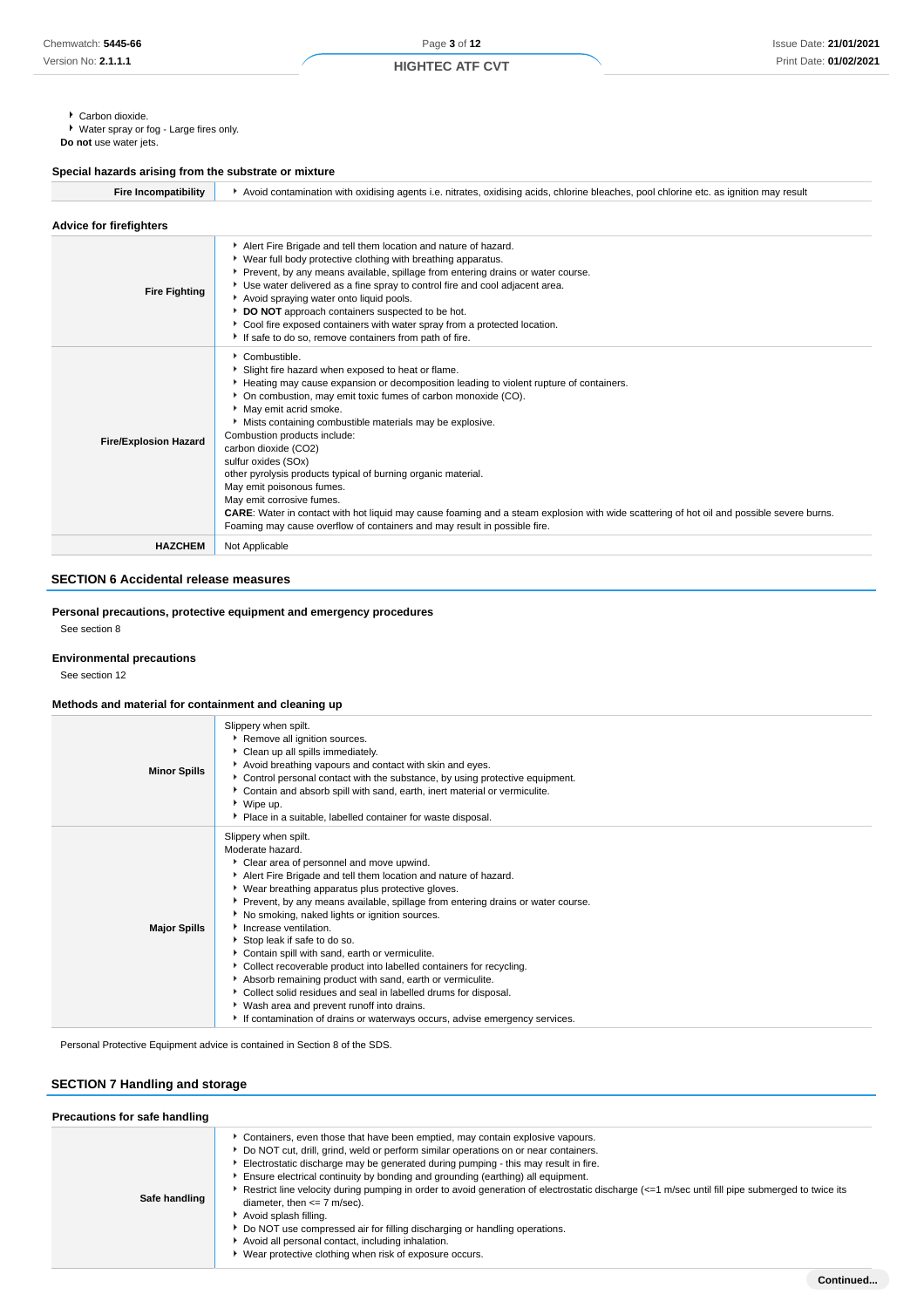Carbon dioxide.

► Water spray or fog - Large fires only.

**Do not** use water jets.

## **Special hazards arising from the substrate or mixture**

| <b>Fire Incompatibility</b>    | Avoid contamination with oxidising agents i.e. nitrates, oxidising acids, chlorine bleaches, pool chlorine etc. as ignition may result                                                                                                                                                                                                                                                                                                                                                                                                                                                                                                                                                                                                                        |  |  |  |  |
|--------------------------------|---------------------------------------------------------------------------------------------------------------------------------------------------------------------------------------------------------------------------------------------------------------------------------------------------------------------------------------------------------------------------------------------------------------------------------------------------------------------------------------------------------------------------------------------------------------------------------------------------------------------------------------------------------------------------------------------------------------------------------------------------------------|--|--|--|--|
| <b>Advice for firefighters</b> |                                                                                                                                                                                                                                                                                                                                                                                                                                                                                                                                                                                                                                                                                                                                                               |  |  |  |  |
| <b>Fire Fighting</b>           | Alert Fire Brigade and tell them location and nature of hazard.<br>▶ Wear full body protective clothing with breathing apparatus.<br>Prevent, by any means available, spillage from entering drains or water course.<br>Use water delivered as a fine spray to control fire and cool adjacent area.<br>Avoid spraying water onto liquid pools.<br>DO NOT approach containers suspected to be hot.<br>Cool fire exposed containers with water spray from a protected location.<br>If safe to do so, remove containers from path of fire.                                                                                                                                                                                                                       |  |  |  |  |
| <b>Fire/Explosion Hazard</b>   | Combustible.<br>Slight fire hazard when exposed to heat or flame.<br>Heating may cause expansion or decomposition leading to violent rupture of containers.<br>• On combustion, may emit toxic fumes of carbon monoxide (CO).<br>May emit acrid smoke.<br>Mists containing combustible materials may be explosive.<br>Combustion products include:<br>carbon dioxide (CO2)<br>sulfur oxides (SOx)<br>other pyrolysis products typical of burning organic material.<br>May emit poisonous fumes.<br>May emit corrosive fumes.<br><b>CARE:</b> Water in contact with hot liquid may cause foaming and a steam explosion with wide scattering of hot oil and possible severe burns.<br>Foaming may cause overflow of containers and may result in possible fire. |  |  |  |  |
| <b>HAZCHEM</b>                 | Not Applicable                                                                                                                                                                                                                                                                                                                                                                                                                                                                                                                                                                                                                                                                                                                                                |  |  |  |  |

## **SECTION 6 Accidental release measures**

## **Personal precautions, protective equipment and emergency procedures**

See section 8

#### **Environmental precautions**

See section 12

## **Methods and material for containment and cleaning up**

| <b>Minor Spills</b> | Slippery when spilt.<br>Remove all ignition sources.<br>Clean up all spills immediately.<br>Avoid breathing vapours and contact with skin and eyes.<br>Control personal contact with the substance, by using protective equipment.<br>Contain and absorb spill with sand, earth, inert material or vermiculite.<br>▶ Wipe up.<br>• Place in a suitable, labelled container for waste disposal.                                                                                                                                                                                                                                                                                                                                                                                                      |
|---------------------|-----------------------------------------------------------------------------------------------------------------------------------------------------------------------------------------------------------------------------------------------------------------------------------------------------------------------------------------------------------------------------------------------------------------------------------------------------------------------------------------------------------------------------------------------------------------------------------------------------------------------------------------------------------------------------------------------------------------------------------------------------------------------------------------------------|
| <b>Major Spills</b> | Slippery when spilt.<br>Moderate hazard.<br>Clear area of personnel and move upwind.<br>Alert Fire Brigade and tell them location and nature of hazard.<br>• Wear breathing apparatus plus protective gloves.<br>▶ Prevent, by any means available, spillage from entering drains or water course.<br>No smoking, naked lights or ignition sources.<br>Increase ventilation.<br>Stop leak if safe to do so.<br>Contain spill with sand, earth or vermiculite.<br>• Collect recoverable product into labelled containers for recycling.<br>Absorb remaining product with sand, earth or vermiculite.<br>Collect solid residues and seal in labelled drums for disposal.<br>▶ Wash area and prevent runoff into drains.<br>If contamination of drains or waterways occurs, advise emergency services. |

Personal Protective Equipment advice is contained in Section 8 of the SDS.

## **SECTION 7 Handling and storage**

| Precautions for safe handling |                                                                                                                                                                                                                                                                                                                                                                                                                                                                                                                                                                                                                                                                                                                                                                               |  |  |  |  |
|-------------------------------|-------------------------------------------------------------------------------------------------------------------------------------------------------------------------------------------------------------------------------------------------------------------------------------------------------------------------------------------------------------------------------------------------------------------------------------------------------------------------------------------------------------------------------------------------------------------------------------------------------------------------------------------------------------------------------------------------------------------------------------------------------------------------------|--|--|--|--|
| Safe handling                 | Containers, even those that have been emptied, may contain explosive vapours.<br>▶ Do NOT cut, drill, grind, weld or perform similar operations on or near containers.<br>Electrostatic discharge may be generated during pumping - this may result in fire.<br>Ensure electrical continuity by bonding and grounding (earthing) all equipment.<br>Restrict line velocity during pumping in order to avoid generation of electrostatic discharge $\left( \leq 1 \right)$ m/sec until fill pipe submerged to twice its<br>diameter, then $\leq$ 7 m/sec).<br>Avoid splash filling.<br>Do NOT use compressed air for filling discharging or handling operations.<br>Avoid all personal contact, including inhalation.<br>Wear protective clothing when risk of exposure occurs. |  |  |  |  |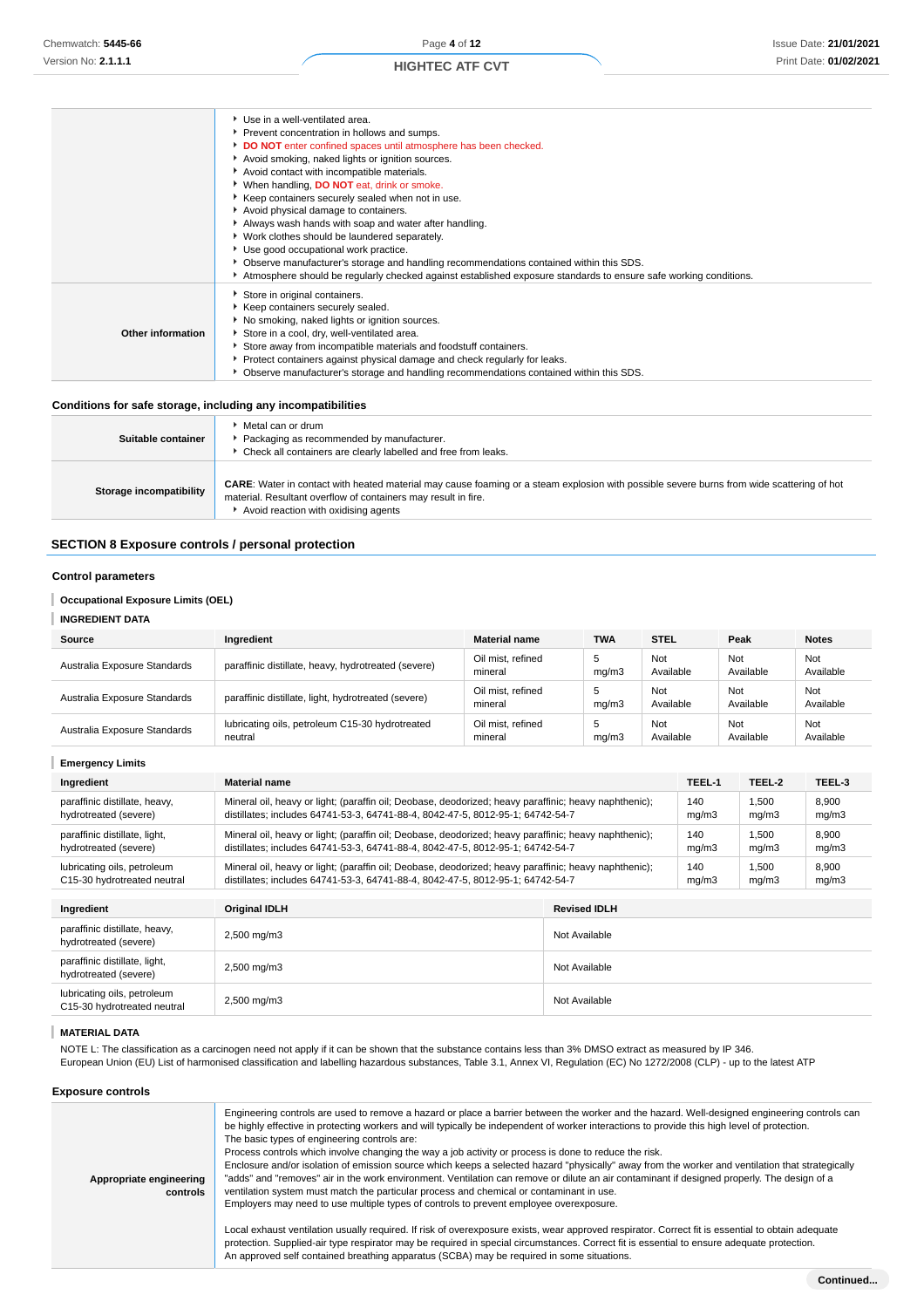|                                                              | Use in a well-ventilated area.                                                                                   |
|--------------------------------------------------------------|------------------------------------------------------------------------------------------------------------------|
|                                                              | Prevent concentration in hollows and sumps.                                                                      |
|                                                              | DO NOT enter confined spaces until atmosphere has been checked.                                                  |
|                                                              | Avoid smoking, naked lights or ignition sources.                                                                 |
|                                                              | Avoid contact with incompatible materials.                                                                       |
|                                                              | When handling, DO NOT eat, drink or smoke.                                                                       |
|                                                              | Keep containers securely sealed when not in use.                                                                 |
|                                                              | Avoid physical damage to containers.                                                                             |
|                                                              | Always wash hands with soap and water after handling.                                                            |
|                                                              | ▶ Work clothes should be laundered separately.                                                                   |
|                                                              | Use good occupational work practice.                                                                             |
|                                                              | ▶ Observe manufacturer's storage and handling recommendations contained within this SDS.                         |
|                                                              | Atmosphere should be regularly checked against established exposure standards to ensure safe working conditions. |
|                                                              | Store in original containers.                                                                                    |
|                                                              | Keep containers securely sealed.                                                                                 |
|                                                              | No smoking, naked lights or ignition sources.                                                                    |
| Other information                                            | Store in a cool, dry, well-ventilated area.                                                                      |
|                                                              | Store away from incompatible materials and foodstuff containers.                                                 |
|                                                              | ▶ Protect containers against physical damage and check regularly for leaks.                                      |
|                                                              | ▶ Observe manufacturer's storage and handling recommendations contained within this SDS.                         |
|                                                              |                                                                                                                  |
| Conditions for safe storage, including any incompatibilities |                                                                                                                  |

| Suitable container      | Metal can or drum<br>Packaging as recommended by manufacturer.<br>Check all containers are clearly labelled and free from leaks.                                                                                                                           |
|-------------------------|------------------------------------------------------------------------------------------------------------------------------------------------------------------------------------------------------------------------------------------------------------|
| Storage incompatibility | <b>CARE:</b> Water in contact with heated material may cause foaming or a steam explosion with possible severe burns from wide scattering of hot<br>material. Resultant overflow of containers may result in fire.<br>Avoid reaction with oxidising agents |

## **SECTION 8 Exposure controls / personal protection**

## **Control parameters**

| <b>INGREDIENT DATA</b>       |                                                            |                              |             |                  |                  |                  |
|------------------------------|------------------------------------------------------------|------------------------------|-------------|------------------|------------------|------------------|
| Source                       | Ingredient                                                 | <b>Material name</b>         | <b>TWA</b>  | <b>STEL</b>      | Peak             | <b>Notes</b>     |
| Australia Exposure Standards | paraffinic distillate, heavy, hydrotreated (severe)        | Oil mist, refined<br>mineral | 5<br>mq/m3  | Not<br>Available | Not<br>Available | Not<br>Available |
| Australia Exposure Standards | paraffinic distillate, light, hydrotreated (severe)        | Oil mist, refined<br>mineral | b<br>mq/m3  | Not<br>Available | Not<br>Available | Not<br>Available |
| Australia Exposure Standards | lubricating oils, petroleum C15-30 hydrotreated<br>neutral | Oil mist, refined<br>mineral | -5<br>mq/m3 | Not<br>Available | Not<br>Available | Not<br>Available |

| <b>Emergency Limits</b>                                    |                                                                                                                                                                                         |                     |              |                |                |
|------------------------------------------------------------|-----------------------------------------------------------------------------------------------------------------------------------------------------------------------------------------|---------------------|--------------|----------------|----------------|
| Ingredient                                                 | <b>Material name</b>                                                                                                                                                                    |                     |              | TEEL-2         | TEEL-3         |
| paraffinic distillate, heavy,<br>hydrotreated (severe)     | Mineral oil, heavy or light; (paraffin oil; Deobase, deodorized; heavy paraffinic; heavy naphthenic);<br>distillates; includes 64741-53-3, 64741-88-4, 8042-47-5, 8012-95-1; 64742-54-7 |                     | 140<br>mg/m3 | 1.500<br>mq/m3 | 8,900<br>mg/m3 |
| paraffinic distillate, light,<br>hydrotreated (severe)     | Mineral oil, heavy or light; (paraffin oil; Deobase, deodorized; heavy paraffinic; heavy naphthenic);<br>distillates: includes 64741-53-3, 64741-88-4, 8042-47-5, 8012-95-1; 64742-54-7 |                     | 140<br>mq/m3 | 1.500<br>mq/m3 | 8,900<br>mq/m3 |
| lubricating oils, petroleum<br>C15-30 hydrotreated neutral | Mineral oil, heavy or light; (paraffin oil; Deobase, deodorized; heavy paraffinic; heavy naphthenic);<br>distillates; includes 64741-53-3, 64741-88-4, 8042-47-5, 8012-95-1; 64742-54-7 |                     | 140<br>mq/m3 | 1,500<br>mg/m3 | 8,900<br>mg/m3 |
|                                                            |                                                                                                                                                                                         |                     |              |                |                |
| Ingredient                                                 | <b>Original IDLH</b>                                                                                                                                                                    | <b>Revised IDLH</b> |              |                |                |
| paraffinic distillate, heavy,<br>hydrotreated (severe)     | 2,500 mg/m3                                                                                                                                                                             | Not Available       |              |                |                |
| paraffinic distillate, light,<br>hydrotreated (severe)     | 2,500 mg/m3                                                                                                                                                                             | Not Available       |              |                |                |
| lubricating oils, petroleum<br>C15-30 hydrotreated neutral | 2,500 mg/m3                                                                                                                                                                             | Not Available       |              |                |                |

## **MATERIAL DATA**

NOTE L: The classification as a carcinogen need not apply if it can be shown that the substance contains less than 3% DMSO extract as measured by IP 346. European Union (EU) List of harmonised classification and labelling hazardous substances, Table 3.1, Annex VI, Regulation (EC) No 1272/2008 (CLP) - up to the latest ATP

**Exposure controls**

| Appropriate engineering<br>controls | Engineering controls are used to remove a hazard or place a barrier between the worker and the hazard. Well-designed engineering controls can<br>be highly effective in protecting workers and will typically be independent of worker interactions to provide this high level of protection.<br>The basic types of engineering controls are:<br>Process controls which involve changing the way a job activity or process is done to reduce the risk.<br>Enclosure and/or isolation of emission source which keeps a selected hazard "physically" away from the worker and ventilation that strategically<br>"adds" and "removes" air in the work environment. Ventilation can remove or dilute an air contaminant if designed properly. The design of a<br>ventilation system must match the particular process and chemical or contaminant in use.<br>Employers may need to use multiple types of controls to prevent employee overexposure.<br>Local exhaust ventilation usually required. If risk of overexposure exists, wear approved respirator. Correct fit is essential to obtain adequate<br>protection. Supplied-air type respirator may be required in special circumstances. Correct fit is essential to ensure adequate protection. |
|-------------------------------------|----------------------------------------------------------------------------------------------------------------------------------------------------------------------------------------------------------------------------------------------------------------------------------------------------------------------------------------------------------------------------------------------------------------------------------------------------------------------------------------------------------------------------------------------------------------------------------------------------------------------------------------------------------------------------------------------------------------------------------------------------------------------------------------------------------------------------------------------------------------------------------------------------------------------------------------------------------------------------------------------------------------------------------------------------------------------------------------------------------------------------------------------------------------------------------------------------------------------------------------------------|
|                                     | An approved self contained breathing apparatus (SCBA) may be required in some situations.                                                                                                                                                                                                                                                                                                                                                                                                                                                                                                                                                                                                                                                                                                                                                                                                                                                                                                                                                                                                                                                                                                                                                          |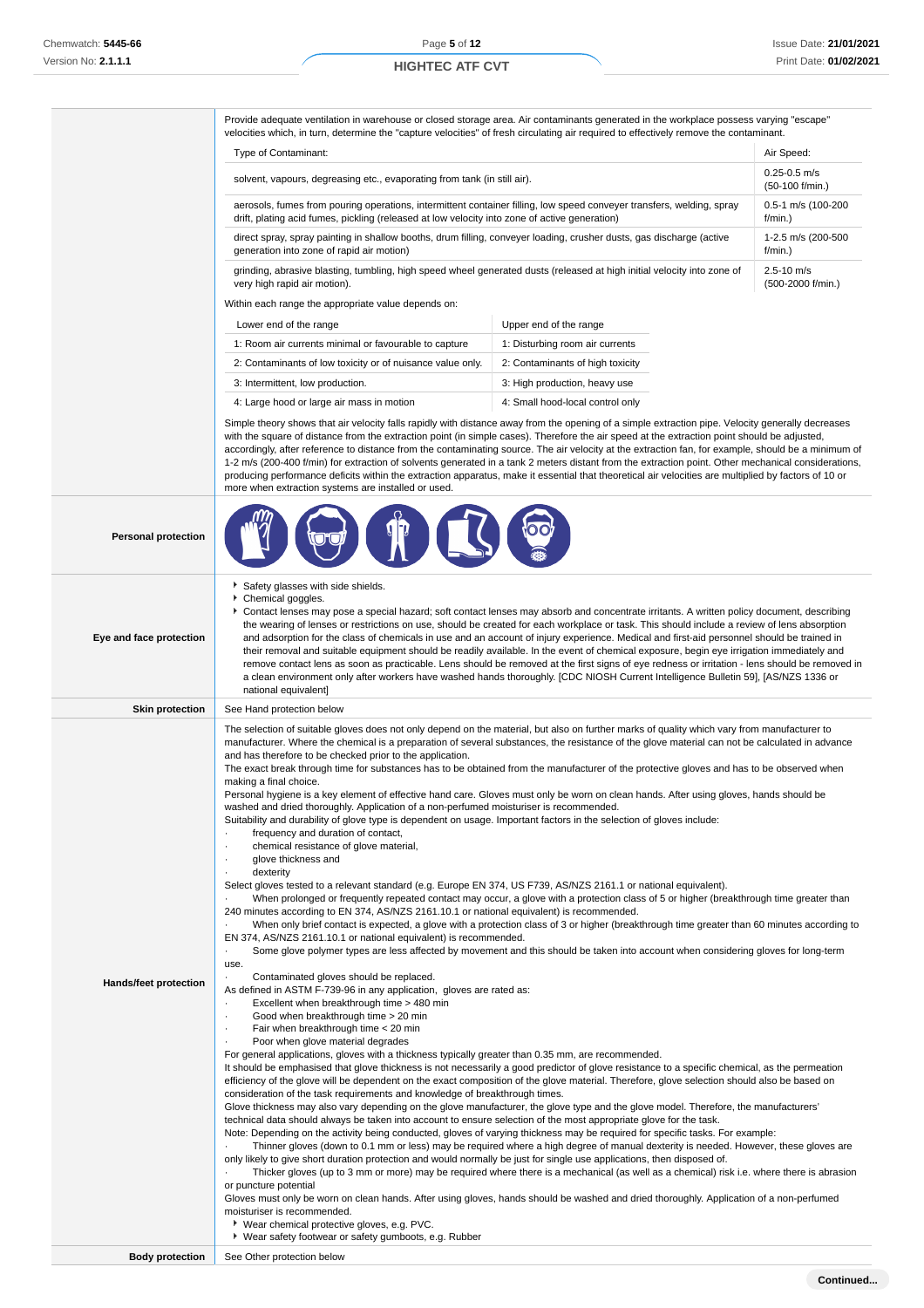Provide adequate ventilation in warehouse or closed storage area. Air contaminants generated in the workplace possess varying "escape" velocities which, in turn, determine the "capture velocities" of fresh circulating air required to effectively remove the contaminant.

| Type of Contaminant:                                                                                                                                                                                                                                       | Air Speed:                             |  |  |
|------------------------------------------------------------------------------------------------------------------------------------------------------------------------------------------------------------------------------------------------------------|----------------------------------------|--|--|
| solvent, vapours, degreasing etc., evaporating from tank (in still air).                                                                                                                                                                                   | $0.25 - 0.5$ m/s<br>$(50-100)$ f/min.) |  |  |
| aerosols, fumes from pouring operations, intermittent container filling, low speed conveyer transfers, welding, spray<br>0.5-1 m/s (100-200<br>drift, plating acid fumes, pickling (released at low velocity into zone of active generation)<br>$f/min.$ ) |                                        |  |  |
| direct spray, spray painting in shallow booths, drum filling, conveyer loading, crusher dusts, gas discharge (active<br>1-2.5 m/s (200-500<br>generation into zone of rapid air motion)<br>$f/min.$ )                                                      |                                        |  |  |
| grinding, abrasive blasting, tumbling, high speed wheel generated dusts (released at high initial velocity into zone of<br>$2.5 - 10$ m/s<br>very high rapid air motion).<br>(500-2000 f/min.)                                                             |                                        |  |  |
| Within each range the appropriate value depends on:                                                                                                                                                                                                        |                                        |  |  |

| Lower end of the range                                     | Upper end of the range           |
|------------------------------------------------------------|----------------------------------|
| 1: Room air currents minimal or favourable to capture      | 1: Disturbing room air currents  |
| 2: Contaminants of low toxicity or of nuisance value only. | 2: Contaminants of high toxicity |
|                                                            |                                  |

3: Intermittent, low production. The same set of the set of the set of the set of the set of the set of the set of the set of the set of the set of the set of the set of the set of the set of the set of the set of the set 4: Large hood or large air mass in motion 4: Small hood-local control only

**Company** 

Simple theory shows that air velocity falls rapidly with distance away from the opening of a simple extraction pipe. Velocity generally decreases with the square of distance from the extraction point (in simple cases). Therefore the air speed at the extraction point should be adjusted, accordingly, after reference to distance from the contaminating source. The air velocity at the extraction fan, for example, should be a minimum of 1-2 m/s (200-400 f/min) for extraction of solvents generated in a tank 2 meters distant from the extraction point. Other mechanical considerations, producing performance deficits within the extraction apparatus, make it essential that theoretical air velocities are multiplied by factors of 10 or more when extraction systems are installed or used.

 $\delta$ 

| <b>Personal protection</b> |  |
|----------------------------|--|
|----------------------------|--|

|                              | 1 L                                                                                                                                                                                                                                                                                                                                                                                                                                                                                                                                                                                                                                                                                                                                                                                                                                                                                                                                                                                                                                                                                                                                                                                                                                                                                                                                                                                                                                                                                                                                                                                                                                                                                                                                                                                                                                                                                                                                                                                                                                                                                                                                                                                                                                                                                                                                                                                                                                                                                                                                                                                                                                                                                                                                                                                                                                                                                                                                                                                                                                                                                                                                                                                                                                                                                                                                                                                                                                                                                                                                                                                                                                                                            |
|------------------------------|--------------------------------------------------------------------------------------------------------------------------------------------------------------------------------------------------------------------------------------------------------------------------------------------------------------------------------------------------------------------------------------------------------------------------------------------------------------------------------------------------------------------------------------------------------------------------------------------------------------------------------------------------------------------------------------------------------------------------------------------------------------------------------------------------------------------------------------------------------------------------------------------------------------------------------------------------------------------------------------------------------------------------------------------------------------------------------------------------------------------------------------------------------------------------------------------------------------------------------------------------------------------------------------------------------------------------------------------------------------------------------------------------------------------------------------------------------------------------------------------------------------------------------------------------------------------------------------------------------------------------------------------------------------------------------------------------------------------------------------------------------------------------------------------------------------------------------------------------------------------------------------------------------------------------------------------------------------------------------------------------------------------------------------------------------------------------------------------------------------------------------------------------------------------------------------------------------------------------------------------------------------------------------------------------------------------------------------------------------------------------------------------------------------------------------------------------------------------------------------------------------------------------------------------------------------------------------------------------------------------------------------------------------------------------------------------------------------------------------------------------------------------------------------------------------------------------------------------------------------------------------------------------------------------------------------------------------------------------------------------------------------------------------------------------------------------------------------------------------------------------------------------------------------------------------------------------------------------------------------------------------------------------------------------------------------------------------------------------------------------------------------------------------------------------------------------------------------------------------------------------------------------------------------------------------------------------------------------------------------------------------------------------------------------------------|
| Eye and face protection      | Safety glasses with side shields.<br>Chemical goggles.<br>Contact lenses may pose a special hazard; soft contact lenses may absorb and concentrate irritants. A written policy document, describing<br>the wearing of lenses or restrictions on use, should be created for each workplace or task. This should include a review of lens absorption<br>and adsorption for the class of chemicals in use and an account of injury experience. Medical and first-aid personnel should be trained in<br>their removal and suitable equipment should be readily available. In the event of chemical exposure, begin eye irrigation immediately and<br>remove contact lens as soon as practicable. Lens should be removed at the first signs of eye redness or irritation - lens should be removed in<br>a clean environment only after workers have washed hands thoroughly. [CDC NIOSH Current Intelligence Bulletin 59], [AS/NZS 1336 or<br>national equivalent]                                                                                                                                                                                                                                                                                                                                                                                                                                                                                                                                                                                                                                                                                                                                                                                                                                                                                                                                                                                                                                                                                                                                                                                                                                                                                                                                                                                                                                                                                                                                                                                                                                                                                                                                                                                                                                                                                                                                                                                                                                                                                                                                                                                                                                                                                                                                                                                                                                                                                                                                                                                                                                                                                                                  |
| <b>Skin protection</b>       | See Hand protection below                                                                                                                                                                                                                                                                                                                                                                                                                                                                                                                                                                                                                                                                                                                                                                                                                                                                                                                                                                                                                                                                                                                                                                                                                                                                                                                                                                                                                                                                                                                                                                                                                                                                                                                                                                                                                                                                                                                                                                                                                                                                                                                                                                                                                                                                                                                                                                                                                                                                                                                                                                                                                                                                                                                                                                                                                                                                                                                                                                                                                                                                                                                                                                                                                                                                                                                                                                                                                                                                                                                                                                                                                                                      |
| <b>Hands/feet protection</b> | The selection of suitable gloves does not only depend on the material, but also on further marks of quality which vary from manufacturer to<br>manufacturer. Where the chemical is a preparation of several substances, the resistance of the glove material can not be calculated in advance<br>and has therefore to be checked prior to the application.<br>The exact break through time for substances has to be obtained from the manufacturer of the protective gloves and has to be observed when<br>making a final choice.<br>Personal hygiene is a key element of effective hand care. Gloves must only be worn on clean hands. After using gloves, hands should be<br>washed and dried thoroughly. Application of a non-perfumed moisturiser is recommended.<br>Suitability and durability of glove type is dependent on usage. Important factors in the selection of gloves include:<br>frequency and duration of contact,<br>chemical resistance of glove material,<br>$\cdot$<br>glove thickness and<br>dexterity<br>Select gloves tested to a relevant standard (e.g. Europe EN 374, US F739, AS/NZS 2161.1 or national equivalent).<br>When prolonged or frequently repeated contact may occur, a glove with a protection class of 5 or higher (breakthrough time greater than<br>240 minutes according to EN 374, AS/NZS 2161.10.1 or national equivalent) is recommended.<br>When only brief contact is expected, a glove with a protection class of 3 or higher (breakthrough time greater than 60 minutes according to<br>EN 374, AS/NZS 2161.10.1 or national equivalent) is recommended.<br>Some glove polymer types are less affected by movement and this should be taken into account when considering gloves for long-term<br>$\cdot$<br>use.<br>Contaminated gloves should be replaced.<br>As defined in ASTM F-739-96 in any application, gloves are rated as:<br>Excellent when breakthrough time > 480 min<br>Good when breakthrough time > 20 min<br>Fair when breakthrough time < 20 min<br>Poor when glove material degrades<br>For general applications, gloves with a thickness typically greater than 0.35 mm, are recommended.<br>It should be emphasised that glove thickness is not necessarily a good predictor of glove resistance to a specific chemical, as the permeation<br>efficiency of the glove will be dependent on the exact composition of the glove material. Therefore, glove selection should also be based on<br>consideration of the task requirements and knowledge of breakthrough times.<br>Glove thickness may also vary depending on the glove manufacturer, the glove type and the glove model. Therefore, the manufacturers'<br>technical data should always be taken into account to ensure selection of the most appropriate glove for the task.<br>Note: Depending on the activity being conducted, gloves of varying thickness may be required for specific tasks. For example:<br>Thinner gloves (down to 0.1 mm or less) may be required where a high degree of manual dexterity is needed. However, these gloves are<br>only likely to give short duration protection and would normally be just for single use applications, then disposed of.<br>Thicker gloves (up to 3 mm or more) may be required where there is a mechanical (as well as a chemical) risk i.e. where there is abrasion<br>or puncture potential<br>Gloves must only be worn on clean hands. After using gloves, hands should be washed and dried thoroughly. Application of a non-perfumed<br>moisturiser is recommended.<br>▶ Wear chemical protective gloves, e.g. PVC.<br>▶ Wear safety footwear or safety gumboots, e.g. Rubber |
| <b>Body protection</b>       | See Other protection below                                                                                                                                                                                                                                                                                                                                                                                                                                                                                                                                                                                                                                                                                                                                                                                                                                                                                                                                                                                                                                                                                                                                                                                                                                                                                                                                                                                                                                                                                                                                                                                                                                                                                                                                                                                                                                                                                                                                                                                                                                                                                                                                                                                                                                                                                                                                                                                                                                                                                                                                                                                                                                                                                                                                                                                                                                                                                                                                                                                                                                                                                                                                                                                                                                                                                                                                                                                                                                                                                                                                                                                                                                                     |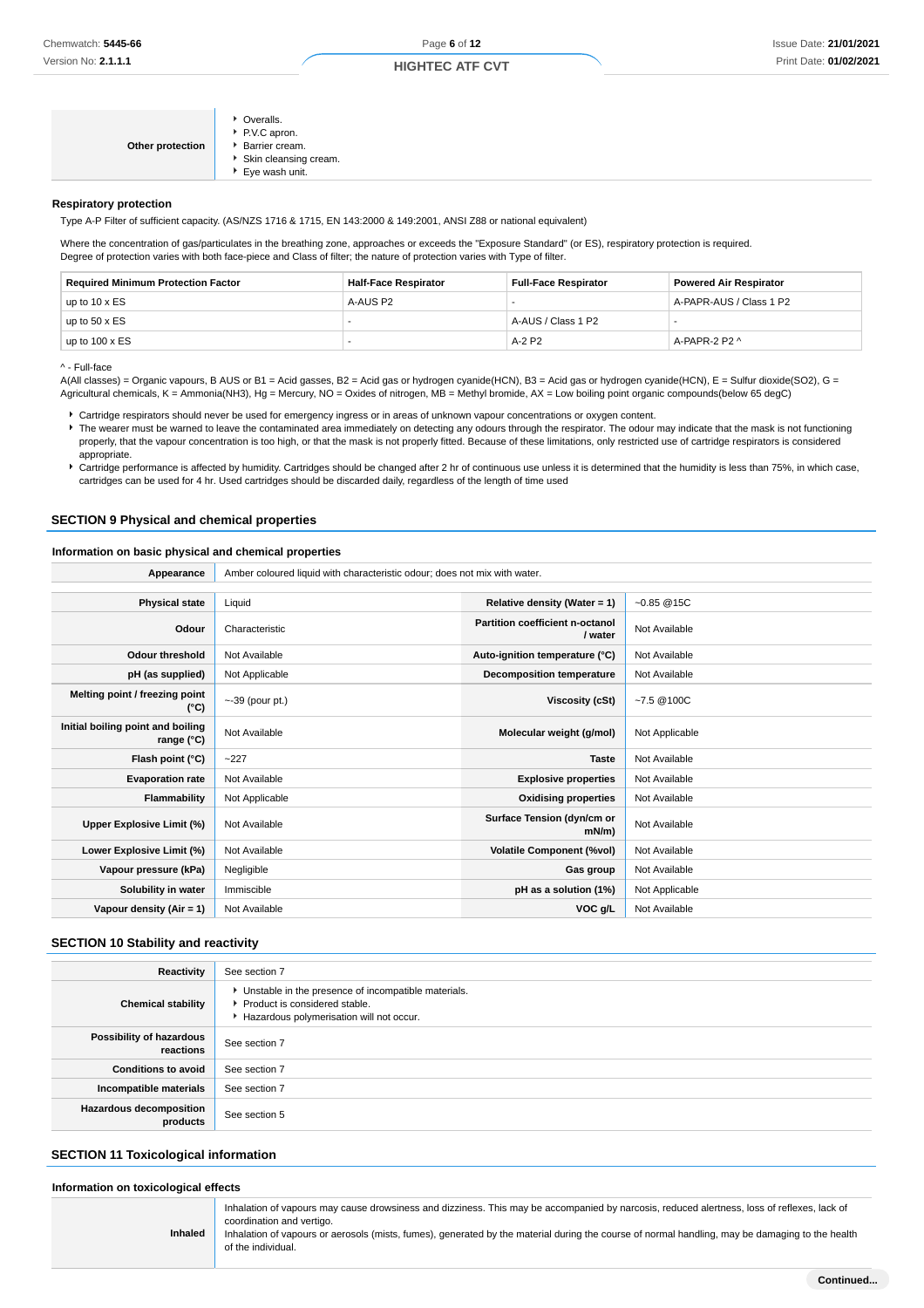## **HIGHTEC ATF CVT**

| Other protection | • Overalls.<br>P.V.C apron.<br>▶ Barrier cream.<br>Skin cleansing cream.<br>▶ Eye wash unit. |
|------------------|----------------------------------------------------------------------------------------------|
|------------------|----------------------------------------------------------------------------------------------|

#### **Respiratory protection**

Type A-P Filter of sufficient capacity. (AS/NZS 1716 & 1715, EN 143:2000 & 149:2001, ANSI Z88 or national equivalent)

Where the concentration of gas/particulates in the breathing zone, approaches or exceeds the "Exposure Standard" (or ES), respiratory protection is required. Degree of protection varies with both face-piece and Class of filter; the nature of protection varies with Type of filter.

| <b>Required Minimum Protection Factor</b> | <b>Half-Face Respirator</b> | <b>Full-Face Respirator</b> | <b>Powered Air Respirator</b> |
|-------------------------------------------|-----------------------------|-----------------------------|-------------------------------|
| up to $10 \times ES$                      | A-AUS P2                    |                             | A-PAPR-AUS / Class 1 P2       |
| up to $50 \times ES$                      |                             | A-AUS / Class 1 P2          |                               |
| up to $100 \times ES$                     |                             | $A-2$ P <sub>2</sub>        | A-PAPR-2 P2 ^                 |

^ - Full-face

A(All classes) = Organic vapours, B AUS or B1 = Acid gasses, B2 = Acid gas or hydrogen cyanide(HCN), B3 = Acid gas or hydrogen cyanide(HCN), E = Sulfur dioxide(SO2), G = Agricultural chemicals, K = Ammonia(NH3), Hg = Mercury, NO = Oxides of nitrogen, MB = Methyl bromide, AX = Low boiling point organic compounds(below 65 degC)

Cartridge respirators should never be used for emergency ingress or in areas of unknown vapour concentrations or oxygen content.

The wearer must be warned to leave the contaminated area immediately on detecting any odours through the respirator. The odour may indicate that the mask is not functioning properly, that the vapour concentration is too high, or that the mask is not properly fitted. Because of these limitations, only restricted use of cartridge respirators is considered appropriate.

▶ Cartridge performance is affected by humidity. Cartridges should be changed after 2 hr of continuous use unless it is determined that the humidity is less than 75%, in which case, cartridges can be used for 4 hr. Used cartridges should be discarded daily, regardless of the length of time used

## **SECTION 9 Physical and chemical properties**

## **Information on basic physical and chemical properties**

| Appearance                                      | Amber coloured liquid with characteristic odour; does not mix with water. |                                            |                |
|-------------------------------------------------|---------------------------------------------------------------------------|--------------------------------------------|----------------|
|                                                 |                                                                           |                                            |                |
| <b>Physical state</b>                           | Liquid                                                                    | Relative density (Water = 1)               | $-0.85@15C$    |
| Odour                                           | Characteristic                                                            | Partition coefficient n-octanol<br>/ water | Not Available  |
| <b>Odour threshold</b>                          | Not Available                                                             | Auto-ignition temperature (°C)             | Not Available  |
| pH (as supplied)                                | Not Applicable                                                            | Decomposition temperature                  | Not Available  |
| Melting point / freezing point<br>(°C)          | $\sim$ -39 (pour pt.)                                                     | Viscosity (cSt)                            | $-7.5@100C$    |
| Initial boiling point and boiling<br>range (°C) | Not Available                                                             | Molecular weight (g/mol)                   | Not Applicable |
| Flash point (°C)                                | $-227$                                                                    | <b>Taste</b>                               | Not Available  |
| <b>Evaporation rate</b>                         | Not Available                                                             | <b>Explosive properties</b>                | Not Available  |
| Flammability                                    | Not Applicable                                                            | <b>Oxidising properties</b>                | Not Available  |
| Upper Explosive Limit (%)                       | Not Available                                                             | Surface Tension (dyn/cm or<br>$mN/m$ )     | Not Available  |
| Lower Explosive Limit (%)                       | Not Available                                                             | <b>Volatile Component (%vol)</b>           | Not Available  |
| Vapour pressure (kPa)                           | Negligible                                                                | Gas group                                  | Not Available  |
| Solubility in water                             | Immiscible                                                                | pH as a solution (1%)                      | Not Applicable |
| Vapour density $(Air = 1)$                      | Not Available                                                             | VOC g/L                                    | Not Available  |

## **SECTION 10 Stability and reactivity**

| Reactivity                            | See section 7                                                                                                                        |
|---------------------------------------|--------------------------------------------------------------------------------------------------------------------------------------|
| <b>Chemical stability</b>             | • Unstable in the presence of incompatible materials.<br>▶ Product is considered stable.<br>Hazardous polymerisation will not occur. |
| Possibility of hazardous<br>reactions | See section 7                                                                                                                        |
| <b>Conditions to avoid</b>            | See section 7                                                                                                                        |
| Incompatible materials                | See section 7                                                                                                                        |
| Hazardous decomposition<br>products   | See section 5                                                                                                                        |

## **SECTION 11 Toxicological information**

**Inhaled**

#### **Information on toxicological effects**

Inhalation of vapours may cause drowsiness and dizziness. This may be accompanied by narcosis, reduced alertness, loss of reflexes, lack of coordination and vertigo.

Inhalation of vapours or aerosols (mists, fumes), generated by the material during the course of normal handling, may be damaging to the health of the individual.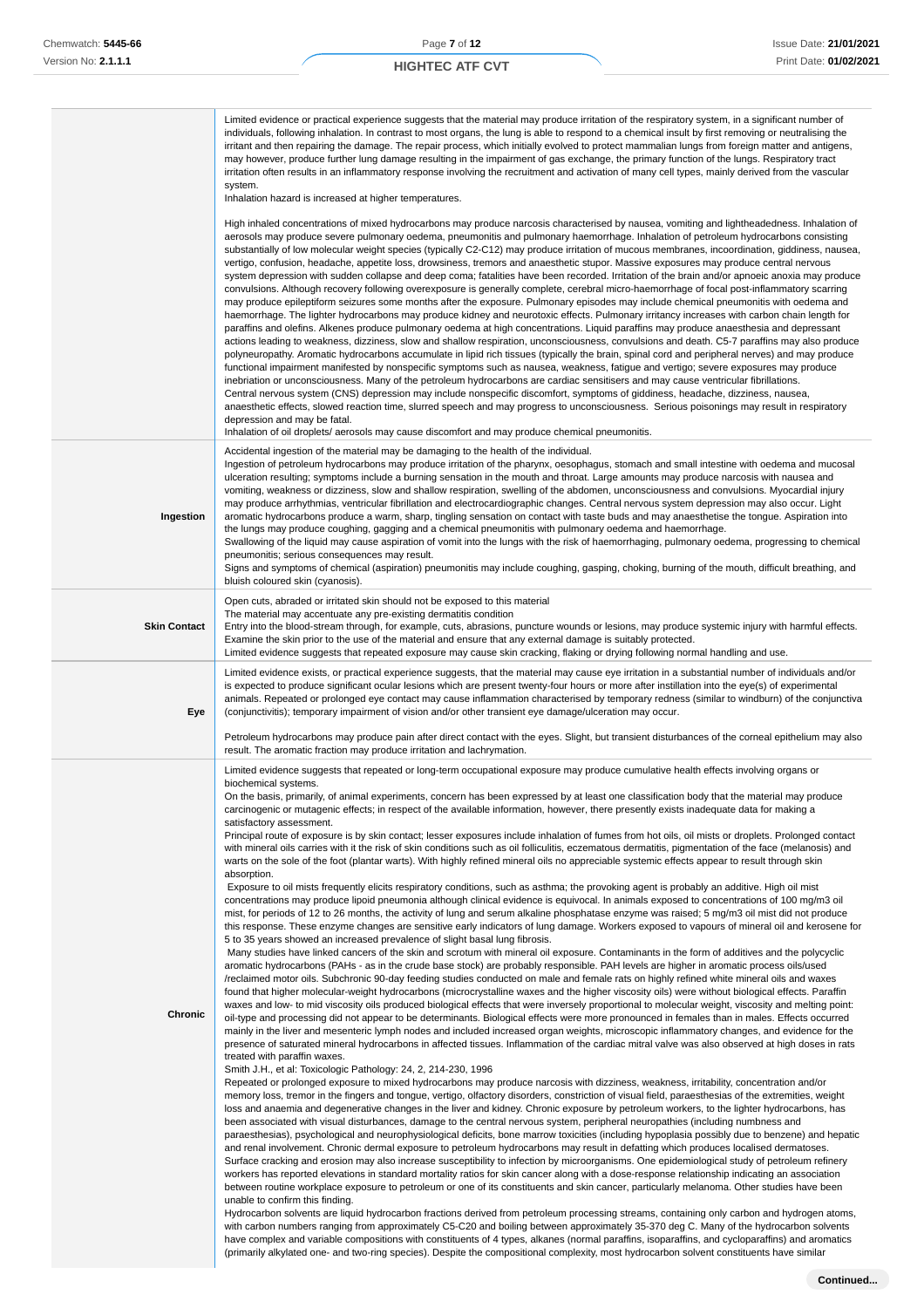#### Limited evidence or practical experience suggests that the material may produce irritation of the respiratory system, in a significant number of individuals, following inhalation. In contrast to most organs, the lung is able to respond to a chemical insult by first removing or neutralising the irritant and then repairing the damage. The repair process, which initially evolved to protect mammalian lungs from foreign matter and antigens, may however, produce further lung damage resulting in the impairment of gas exchange, the primary function of the lungs. Respiratory tract irritation often results in an inflammatory response involving the recruitment and activation of many cell types, mainly derived from the vascular system. Inhalation hazard is increased at higher temperatures. High inhaled concentrations of mixed hydrocarbons may produce narcosis characterised by nausea, vomiting and lightheadedness. Inhalation of aerosols may produce severe pulmonary oedema, pneumonitis and pulmonary haemorrhage. Inhalation of petroleum hydrocarbons consisting substantially of low molecular weight species (typically C2-C12) may produce irritation of mucous membranes, incoordination, giddiness, nausea, vertigo, confusion, headache, appetite loss, drowsiness, tremors and anaesthetic stupor. Massive exposures may produce central nervous system depression with sudden collapse and deep coma; fatalities have been recorded. Irritation of the brain and/or apnoeic anoxia may produce convulsions. Although recovery following overexposure is generally complete, cerebral micro-haemorrhage of focal post-inflammatory scarring may produce epileptiform seizures some months after the exposure. Pulmonary episodes may include chemical pneumonitis with oedema and haemorrhage. The lighter hydrocarbons may produce kidney and neurotoxic effects. Pulmonary irritancy increases with carbon chain length for paraffins and olefins. Alkenes produce pulmonary oedema at high concentrations. Liquid paraffins may produce anaesthesia and depressant actions leading to weakness, dizziness, slow and shallow respiration, unconsciousness, convulsions and death. C5-7 paraffins may also produce polyneuropathy. Aromatic hydrocarbons accumulate in lipid rich tissues (typically the brain, spinal cord and peripheral nerves) and may produce functional impairment manifested by nonspecific symptoms such as nausea, weakness, fatigue and vertigo; severe exposures may produce inebriation or unconsciousness. Many of the petroleum hydrocarbons are cardiac sensitisers and may cause ventricular fibrillations. Central nervous system (CNS) depression may include nonspecific discomfort, symptoms of giddiness, headache, dizziness, nausea, anaesthetic effects, slowed reaction time, slurred speech and may progress to unconsciousness. Serious poisonings may result in respiratory depression and may be fatal. Inhalation of oil droplets/ aerosols may cause discomfort and may produce chemical pneumonitis. **Ingestion** Accidental ingestion of the material may be damaging to the health of the individual. Ingestion of petroleum hydrocarbons may produce irritation of the pharynx, oesophagus, stomach and small intestine with oedema and mucosal ulceration resulting; symptoms include a burning sensation in the mouth and throat. Large amounts may produce narcosis with nausea and vomiting, weakness or dizziness, slow and shallow respiration, swelling of the abdomen, unconsciousness and convulsions. Myocardial injury may produce arrhythmias, ventricular fibrillation and electrocardiographic changes. Central nervous system depression may also occur. Light aromatic hydrocarbons produce a warm, sharp, tingling sensation on contact with taste buds and may anaesthetise the tongue. Aspiration into the lungs may produce coughing, gagging and a chemical pneumonitis with pulmonary oedema and haemorrhage. Swallowing of the liquid may cause aspiration of vomit into the lungs with the risk of haemorrhaging, pulmonary oedema, progressing to chemical pneumonitis; serious consequences may result. Signs and symptoms of chemical (aspiration) pneumonitis may include coughing, gasping, choking, burning of the mouth, difficult breathing, and bluish coloured skin (cyanosis). **Skin Contact** Open cuts, abraded or irritated skin should not be exposed to this material The material may accentuate any pre-existing dermatitis condition Entry into the blood-stream through, for example, cuts, abrasions, puncture wounds or lesions, may produce systemic injury with harmful effects. Examine the skin prior to the use of the material and ensure that any external damage is suitably protected. Limited evidence suggests that repeated exposure may cause skin cracking, flaking or drying following normal handling and use. **Eye** Limited evidence exists, or practical experience suggests, that the material may cause eye irritation in a substantial number of individuals and/or is expected to produce significant ocular lesions which are present twenty-four hours or more after instillation into the eye(s) of experimental animals. Repeated or prolonged eye contact may cause inflammation characterised by temporary redness (similar to windburn) of the conjunctiva (conjunctivitis); temporary impairment of vision and/or other transient eye damage/ulceration may occur. Petroleum hydrocarbons may produce pain after direct contact with the eyes. Slight, but transient disturbances of the corneal epithelium may also result. The aromatic fraction may produce irritation and lachrymation. **Chronic** Limited evidence suggests that repeated or long-term occupational exposure may produce cumulative health effects involving organs or biochemical systems. On the basis, primarily, of animal experiments, concern has been expressed by at least one classification body that the material may produce carcinogenic or mutagenic effects; in respect of the available information, however, there presently exists inadequate data for making a satisfactory assessment. Principal route of exposure is by skin contact; lesser exposures include inhalation of fumes from hot oils, oil mists or droplets. Prolonged contact with mineral oils carries with it the risk of skin conditions such as oil folliculitis, eczematous dermatitis, pigmentation of the face (melanosis) and warts on the sole of the foot (plantar warts). With highly refined mineral oils no appreciable systemic effects appear to result through skin absorption. Exposure to oil mists frequently elicits respiratory conditions, such as asthma; the provoking agent is probably an additive. High oil mist concentrations may produce lipoid pneumonia although clinical evidence is equivocal. In animals exposed to concentrations of 100 mg/m3 oil mist, for periods of 12 to 26 months, the activity of lung and serum alkaline phosphatase enzyme was raised; 5 mg/m3 oil mist did not produce this response. These enzyme changes are sensitive early indicators of lung damage. Workers exposed to vapours of mineral oil and kerosene for 5 to 35 years showed an increased prevalence of slight basal lung fibrosis. Many studies have linked cancers of the skin and scrotum with mineral oil exposure. Contaminants in the form of additives and the polycyclic aromatic hydrocarbons (PAHs - as in the crude base stock) are probably responsible. PAH levels are higher in aromatic process oils/used /reclaimed motor oils. Subchronic 90-day feeding studies conducted on male and female rats on highly refined white mineral oils and waxes found that higher molecular-weight hydrocarbons (microcrystalline waxes and the higher viscosity oils) were without biological effects. Paraffin waxes and low- to mid viscosity oils produced biological effects that were inversely proportional to molecular weight, viscosity and melting point: oil-type and processing did not appear to be determinants. Biological effects were more pronounced in females than in males. Effects occurred mainly in the liver and mesenteric lymph nodes and included increased organ weights, microscopic inflammatory changes, and evidence for the presence of saturated mineral hydrocarbons in affected tissues. Inflammation of the cardiac mitral valve was also observed at high doses in rats treated with paraffin waxes. Smith J.H., et al: Toxicologic Pathology: 24, 2, 214-230, 1996 Repeated or prolonged exposure to mixed hydrocarbons may produce narcosis with dizziness, weakness, irritability, concentration and/or memory loss, tremor in the fingers and tongue, vertigo, olfactory disorders, constriction of visual field, paraesthesias of the extremities, weight loss and anaemia and degenerative changes in the liver and kidney. Chronic exposure by petroleum workers, to the lighter hydrocarbons, has been associated with visual disturbances, damage to the central nervous system, peripheral neuropathies (including numbness and paraesthesias), psychological and neurophysiological deficits, bone marrow toxicities (including hypoplasia possibly due to benzene) and hepatic and renal involvement. Chronic dermal exposure to petroleum hydrocarbons may result in defatting which produces localised dermatoses. Surface cracking and erosion may also increase susceptibility to infection by microorganisms. One epidemiological study of petroleum refinery workers has reported elevations in standard mortality ratios for skin cancer along with a dose-response relationship indicating an association between routine workplace exposure to petroleum or one of its constituents and skin cancer, particularly melanoma. Other studies have been unable to confirm this finding. Hydrocarbon solvents are liquid hydrocarbon fractions derived from petroleum processing streams, containing only carbon and hydrogen atoms, with carbon numbers ranging from approximately C5-C20 and boiling between approximately 35-370 deg C. Many of the hydrocarbon solvents have complex and variable compositions with constituents of 4 types, alkanes (normal paraffins, isoparaffins, and cycloparaffins) and aromatics (primarily alkylated one- and two-ring species). Despite the compositional complexity, most hydrocarbon solvent constituents have similar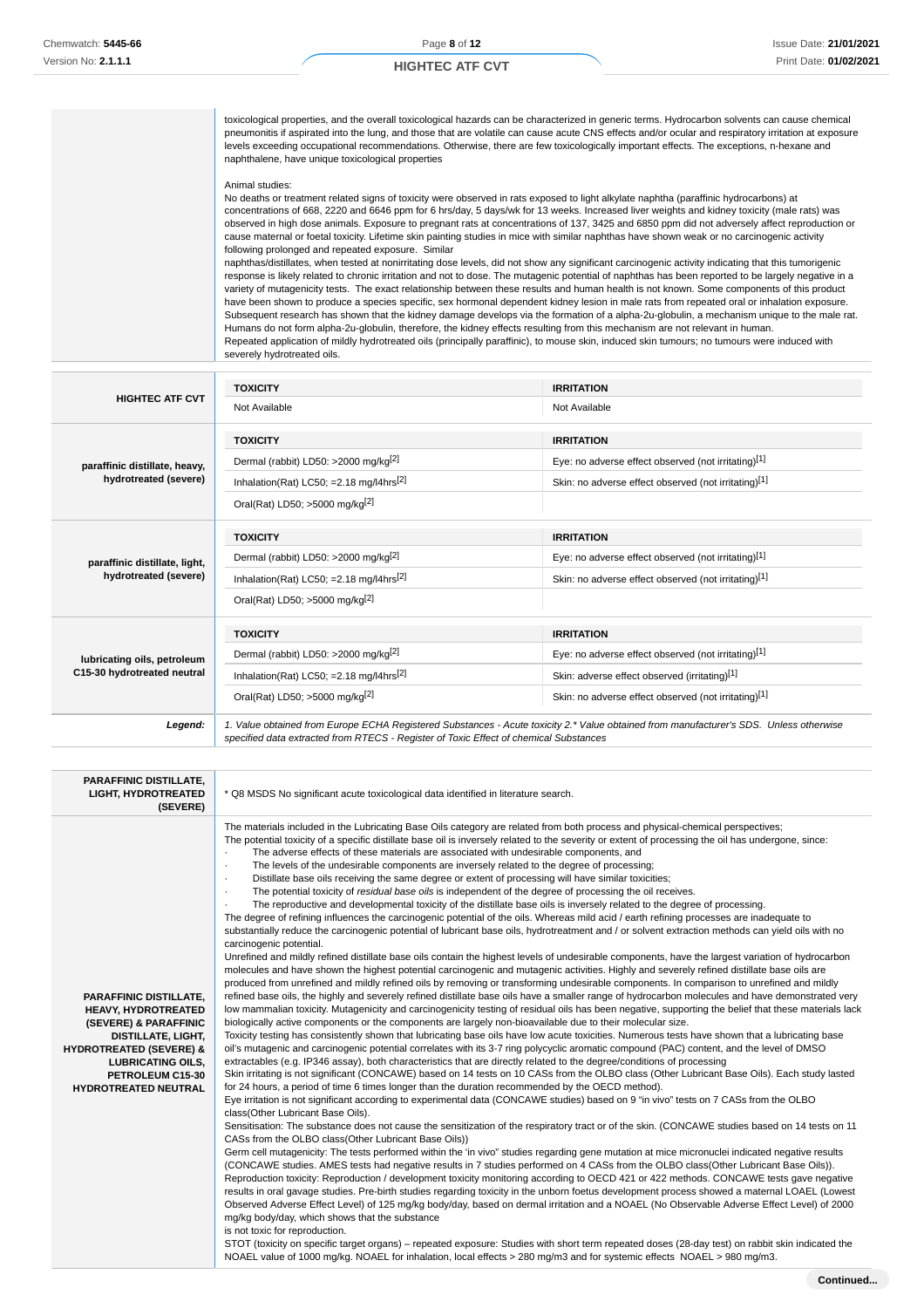## **HIGHTEC ATF CVT**

toxicological properties, and the overall toxicological hazards can be characterized in generic terms. Hydrocarbon solvents can cause chemical pneumonitis if aspirated into the lung, and those that are volatile can cause acute CNS effects and/or ocular and respiratory irritation at exposure levels exceeding occupational recommendations. Otherwise, there are few toxicologically important effects. The exceptions, n-hexane and naphthalene, have unique toxicological properties

#### Animal studies:

No deaths or treatment related signs of toxicity were observed in rats exposed to light alkylate naphtha (paraffinic hydrocarbons) at concentrations of 668, 2220 and 6646 ppm for 6 hrs/day, 5 days/wk for 13 weeks. Increased liver weights and kidney toxicity (male rats) was observed in high dose animals. Exposure to pregnant rats at concentrations of 137, 3425 and 6850 ppm did not adversely affect reproduction or cause maternal or foetal toxicity. Lifetime skin painting studies in mice with similar naphthas have shown weak or no carcinogenic activity following prolonged and repeated exposure. Similar naphthas/distillates, when tested at nonirritating dose levels, did not show any significant carcinogenic activity indicating that this tumorigenic

response is likely related to chronic irritation and not to dose. The mutagenic potential of naphthas has been reported to be largely negative in a variety of mutagenicity tests. The exact relationship between these results and human health is not known. Some components of this product have been shown to produce a species specific, sex hormonal dependent kidney lesion in male rats from repeated oral or inhalation exposure. Subsequent research has shown that the kidney damage develops via the formation of a alpha-2u-globulin, a mechanism unique to the male rat. Humans do not form alpha-2u-globulin, therefore, the kidney effects resulting from this mechanism are not relevant in human. Repeated application of mildly hydrotreated oils (principally paraffinic), to mouse skin, induced skin tumours; no tumours were induced with severely hydrotreated oils.

|                                                            | <b>TOXICITY</b>                                                                                                                                                                                                                 | <b>IRRITATION</b>                                    |
|------------------------------------------------------------|---------------------------------------------------------------------------------------------------------------------------------------------------------------------------------------------------------------------------------|------------------------------------------------------|
| <b>HIGHTEC ATF CVT</b>                                     | Not Available                                                                                                                                                                                                                   | Not Available                                        |
|                                                            | <b>TOXICITY</b>                                                                                                                                                                                                                 | <b>IRRITATION</b>                                    |
| paraffinic distillate, heavy,                              | Dermal (rabbit) LD50: >2000 mg/kg <sup>[2]</sup>                                                                                                                                                                                | Eye: no adverse effect observed (not irritating)[1]  |
| hydrotreated (severe)                                      | Inhalation(Rat) LC50; = 2.18 mg/l4hrs <sup>[2]</sup>                                                                                                                                                                            | Skin: no adverse effect observed (not irritating)[1] |
|                                                            | Oral(Rat) LD50; >5000 mg/kg[2]                                                                                                                                                                                                  |                                                      |
|                                                            | <b>TOXICITY</b>                                                                                                                                                                                                                 | <b>IRRITATION</b>                                    |
| paraffinic distillate, light,                              | Dermal (rabbit) LD50: >2000 mg/kg <sup>[2]</sup>                                                                                                                                                                                | Eye: no adverse effect observed (not irritating)[1]  |
| hydrotreated (severe)                                      | Inhalation(Rat) LC50; = 2.18 mg/l4hrs <sup>[2]</sup>                                                                                                                                                                            | Skin: no adverse effect observed (not irritating)[1] |
|                                                            | Oral(Rat) LD50; >5000 mg/kg[2]                                                                                                                                                                                                  |                                                      |
|                                                            | <b>TOXICITY</b>                                                                                                                                                                                                                 | <b>IRRITATION</b>                                    |
| lubricating oils, petroleum<br>C15-30 hydrotreated neutral | Dermal (rabbit) LD50: >2000 mg/kg <sup>[2]</sup>                                                                                                                                                                                | Eye: no adverse effect observed (not irritating)[1]  |
|                                                            | Inhalation(Rat) LC50; = 2.18 mg/l4hrs <sup>[2]</sup>                                                                                                                                                                            | Skin: adverse effect observed (irritating)[1]        |
|                                                            | Oral(Rat) LD50; >5000 mg/kg <sup>[2]</sup>                                                                                                                                                                                      | Skin: no adverse effect observed (not irritating)[1] |
| Legend:                                                    | 1. Value obtained from Europe ECHA Registered Substances - Acute toxicity 2.* Value obtained from manufacturer's SDS. Unless otherwise<br>specified data extracted from RTECS - Register of Toxic Effect of chemical Substances |                                                      |

| <b>PARAFFINIC DISTILLATE.</b><br><b>LIGHT, HYDROTREATED</b><br>(SEVERE)                                                                                                                                                  | * Q8 MSDS No significant acute toxicological data identified in literature search.                                                                                                                                                                                                                                                                                                                                                                                                                                                                                                                                                                                                                                                                                                                                                                                                                                                                                                                                                                                                                                                                                                                                                                                                                                                                                                                                                                                                                                                                                                                                                                                                                                                                                                                                                                                                                                                                                                                                                                                                                                                                                                                                                                                                                                                                                                                                                                                                                                                                                                                                                                                                                                                                                                                                                                                                                                                                                                                                                                                                                                                                                                                                                                                                                                                                                                                                                                                                                                                                                                                                                                                                                                                                                                                                                                                                                                                                                                                                                                                                                                                                                                                                                             |
|--------------------------------------------------------------------------------------------------------------------------------------------------------------------------------------------------------------------------|------------------------------------------------------------------------------------------------------------------------------------------------------------------------------------------------------------------------------------------------------------------------------------------------------------------------------------------------------------------------------------------------------------------------------------------------------------------------------------------------------------------------------------------------------------------------------------------------------------------------------------------------------------------------------------------------------------------------------------------------------------------------------------------------------------------------------------------------------------------------------------------------------------------------------------------------------------------------------------------------------------------------------------------------------------------------------------------------------------------------------------------------------------------------------------------------------------------------------------------------------------------------------------------------------------------------------------------------------------------------------------------------------------------------------------------------------------------------------------------------------------------------------------------------------------------------------------------------------------------------------------------------------------------------------------------------------------------------------------------------------------------------------------------------------------------------------------------------------------------------------------------------------------------------------------------------------------------------------------------------------------------------------------------------------------------------------------------------------------------------------------------------------------------------------------------------------------------------------------------------------------------------------------------------------------------------------------------------------------------------------------------------------------------------------------------------------------------------------------------------------------------------------------------------------------------------------------------------------------------------------------------------------------------------------------------------------------------------------------------------------------------------------------------------------------------------------------------------------------------------------------------------------------------------------------------------------------------------------------------------------------------------------------------------------------------------------------------------------------------------------------------------------------------------------------------------------------------------------------------------------------------------------------------------------------------------------------------------------------------------------------------------------------------------------------------------------------------------------------------------------------------------------------------------------------------------------------------------------------------------------------------------------------------------------------------------------------------------------------------------------------------------------------------------------------------------------------------------------------------------------------------------------------------------------------------------------------------------------------------------------------------------------------------------------------------------------------------------------------------------------------------------------------------------------------------------------------------------------------------------|
| PARAFFINIC DISTILLATE,<br><b>HEAVY, HYDROTREATED</b><br>(SEVERE) & PARAFFINIC<br>DISTILLATE, LIGHT,<br><b>HYDROTREATED (SEVERE) &amp;</b><br><b>LUBRICATING OILS,</b><br>PETROLEUM C15-30<br><b>HYDROTREATED NEUTRAL</b> | The materials included in the Lubricating Base Oils category are related from both process and physical-chemical perspectives;<br>The potential toxicity of a specific distillate base oil is inversely related to the severity or extent of processing the oil has undergone, since:<br>The adverse effects of these materials are associated with undesirable components, and<br>The levels of the undesirable components are inversely related to the degree of processing;<br>$\cdot$<br>Distillate base oils receiving the same degree or extent of processing will have similar toxicities;<br>٠<br>The potential toxicity of <i>residual base oils</i> is independent of the degree of processing the oil receives.<br>٠<br>The reproductive and developmental toxicity of the distillate base oils is inversely related to the degree of processing.<br>The degree of refining influences the carcinogenic potential of the oils. Whereas mild acid / earth refining processes are inadequate to<br>substantially reduce the carcinogenic potential of lubricant base oils, hydrotreatment and / or solvent extraction methods can yield oils with no<br>carcinogenic potential.<br>Unrefined and mildly refined distillate base oils contain the highest levels of undesirable components, have the largest variation of hydrocarbon<br>molecules and have shown the highest potential carcinogenic and mutagenic activities. Highly and severely refined distillate base oils are<br>produced from unrefined and mildly refined oils by removing or transforming undesirable components. In comparison to unrefined and mildly<br>refined base oils, the highly and severely refined distillate base oils have a smaller range of hydrocarbon molecules and have demonstrated very<br>low mammalian toxicity. Mutagenicity and carcinogenicity testing of residual oils has been negative, supporting the belief that these materials lack<br>biologically active components or the components are largely non-bioavailable due to their molecular size.<br>Toxicity testing has consistently shown that lubricating base oils have low acute toxicities. Numerous tests have shown that a lubricating base<br>oil's mutagenic and carcinogenic potential correlates with its 3-7 ring polycyclic aromatic compound (PAC) content, and the level of DMSO<br>extractables (e.g. IP346 assay), both characteristics that are directly related to the degree/conditions of processing<br>Skin irritating is not significant (CONCAWE) based on 14 tests on 10 CASs from the OLBO class (Other Lubricant Base Oils). Each study lasted<br>for 24 hours, a period of time 6 times longer than the duration recommended by the OECD method).<br>Eye irritation is not significant according to experimental data (CONCAWE studies) based on 9 "in vivo" tests on 7 CASs from the OLBO<br>class(Other Lubricant Base Oils).<br>Sensitisation: The substance does not cause the sensitization of the respiratory tract or of the skin. (CONCAWE studies based on 14 tests on 11<br>CASs from the OLBO class(Other Lubricant Base Oils))<br>Germ cell mutagenicity: The tests performed within the 'in vivo" studies regarding gene mutation at mice micronuclei indicated negative results<br>(CONCAWE studies. AMES tests had negative results in 7 studies performed on 4 CASs from the OLBO class(Other Lubricant Base Oils)).<br>Reproduction toxicity: Reproduction / development toxicity monitoring according to OECD 421 or 422 methods. CONCAWE tests gave negative<br>results in oral gavage studies. Pre-birth studies regarding toxicity in the unborn foetus development process showed a maternal LOAEL (Lowest<br>Observed Adverse Effect Level) of 125 mg/kg body/day, based on dermal irritation and a NOAEL (No Observable Adverse Effect Level) of 2000<br>mg/kg body/day, which shows that the substance<br>is not toxic for reproduction.<br>STOT (toxicity on specific target organs) - repeated exposure: Studies with short term repeated doses (28-day test) on rabbit skin indicated the<br>NOAEL value of 1000 mg/kg. NOAEL for inhalation, local effects > 280 mg/m3 and for systemic effects NOAEL > 980 mg/m3. |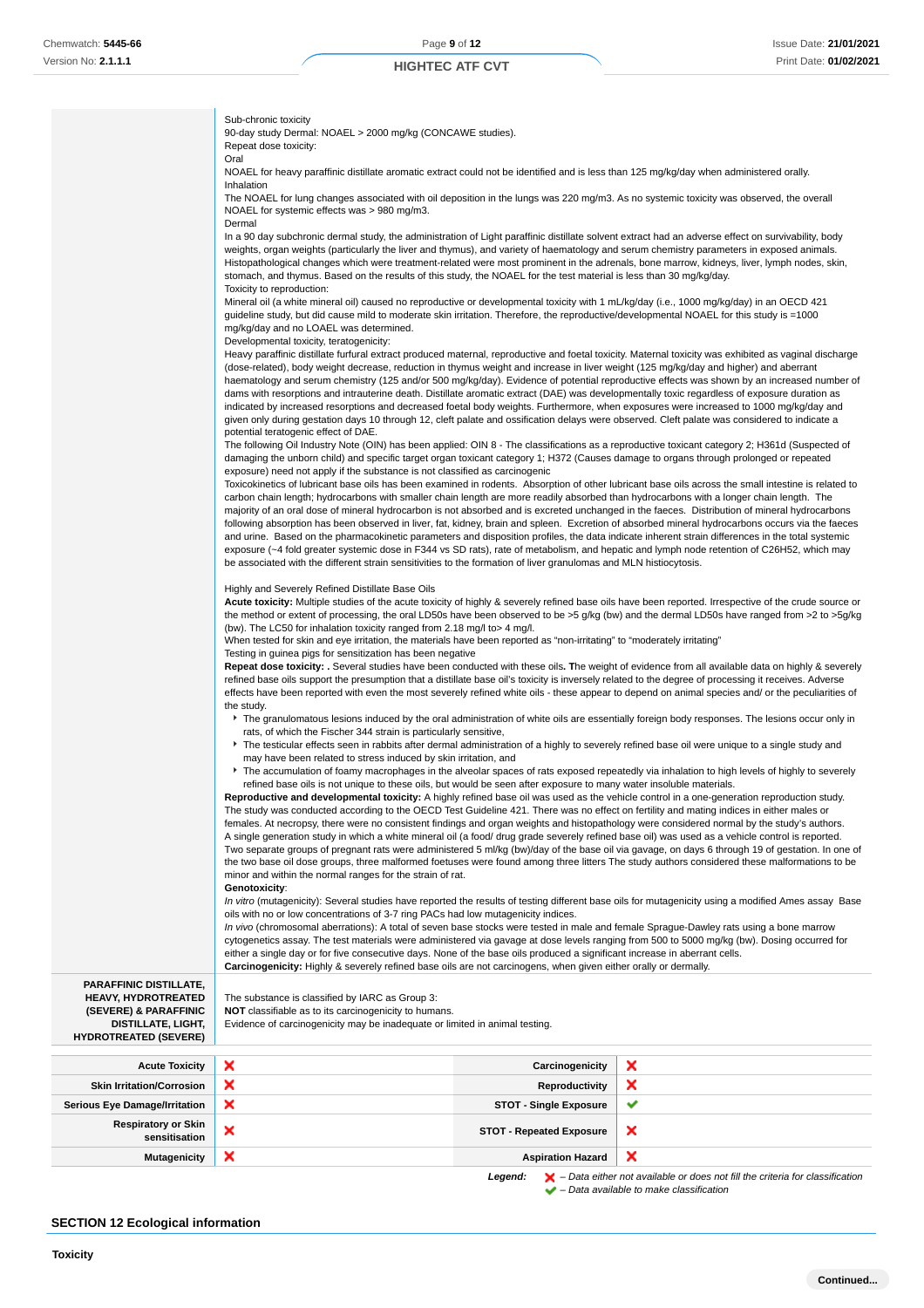Sub-chronic toxicity

Repeat dose toxicity:

Oral

Inhalation

Dermal

## **HIGHTEC ATF CVT**

NOAEL for heavy paraffinic distillate aromatic extract could not be identified and is less than 125 mg/kg/day when administered orally.

The NOAEL for lung changes associated with oil deposition in the lungs was 220 mg/m3. As no systemic toxicity was observed, the overall

In a 90 day subchronic dermal study, the administration of Light paraffinic distillate solvent extract had an adverse effect on survivability, body weights, organ weights (particularly the liver and thymus), and variety of haematology and serum chemistry parameters in exposed animals.

90-day study Dermal: NOAEL > 2000 mg/kg (CONCAWE studies).

NOAEL for systemic effects was > 980 mg/m3.

|                                                                                                                                                   | Histopathological changes which were treatment-related were most prominent in the adrenals, bone marrow, kidneys, liver, lymph nodes, skin,<br>stomach, and thymus. Based on the results of this study, the NOAEL for the test material is less than 30 mg/kg/day.                                                                                                                                                                                                                                                                                                                                                                                                                                                                                                                                                                                                                                                                                                                                                                                                                                                                                                                                                                                                                                  |                                 |                                                                                                                                                                                                                                                                                                                                                                                                                                                                                                                                                                                                                                                                                                                                                             |  |
|---------------------------------------------------------------------------------------------------------------------------------------------------|-----------------------------------------------------------------------------------------------------------------------------------------------------------------------------------------------------------------------------------------------------------------------------------------------------------------------------------------------------------------------------------------------------------------------------------------------------------------------------------------------------------------------------------------------------------------------------------------------------------------------------------------------------------------------------------------------------------------------------------------------------------------------------------------------------------------------------------------------------------------------------------------------------------------------------------------------------------------------------------------------------------------------------------------------------------------------------------------------------------------------------------------------------------------------------------------------------------------------------------------------------------------------------------------------------|---------------------------------|-------------------------------------------------------------------------------------------------------------------------------------------------------------------------------------------------------------------------------------------------------------------------------------------------------------------------------------------------------------------------------------------------------------------------------------------------------------------------------------------------------------------------------------------------------------------------------------------------------------------------------------------------------------------------------------------------------------------------------------------------------------|--|
|                                                                                                                                                   | Toxicity to reproduction:<br>Mineral oil (a white mineral oil) caused no reproductive or developmental toxicity with 1 mL/kg/day (i.e., 1000 mg/kg/day) in an OECD 421                                                                                                                                                                                                                                                                                                                                                                                                                                                                                                                                                                                                                                                                                                                                                                                                                                                                                                                                                                                                                                                                                                                              |                                 |                                                                                                                                                                                                                                                                                                                                                                                                                                                                                                                                                                                                                                                                                                                                                             |  |
|                                                                                                                                                   | guideline study, but did cause mild to moderate skin irritation. Therefore, the reproductive/developmental NOAEL for this study is =1000<br>mg/kg/day and no LOAEL was determined.                                                                                                                                                                                                                                                                                                                                                                                                                                                                                                                                                                                                                                                                                                                                                                                                                                                                                                                                                                                                                                                                                                                  |                                 |                                                                                                                                                                                                                                                                                                                                                                                                                                                                                                                                                                                                                                                                                                                                                             |  |
|                                                                                                                                                   | Developmental toxicity, teratogenicity:                                                                                                                                                                                                                                                                                                                                                                                                                                                                                                                                                                                                                                                                                                                                                                                                                                                                                                                                                                                                                                                                                                                                                                                                                                                             |                                 |                                                                                                                                                                                                                                                                                                                                                                                                                                                                                                                                                                                                                                                                                                                                                             |  |
|                                                                                                                                                   | (dose-related), body weight decrease, reduction in thymus weight and increase in liver weight (125 mg/kg/day and higher) and aberrant<br>dams with resorptions and intrauterine death. Distillate aromatic extract (DAE) was developmentally toxic regardless of exposure duration as                                                                                                                                                                                                                                                                                                                                                                                                                                                                                                                                                                                                                                                                                                                                                                                                                                                                                                                                                                                                               |                                 | Heavy paraffinic distillate furfural extract produced maternal, reproductive and foetal toxicity. Maternal toxicity was exhibited as vaginal discharge<br>haematology and serum chemistry (125 and/or 500 mg/kg/day). Evidence of potential reproductive effects was shown by an increased number of                                                                                                                                                                                                                                                                                                                                                                                                                                                        |  |
|                                                                                                                                                   | indicated by increased resorptions and decreased foetal body weights. Furthermore, when exposures were increased to 1000 mg/kg/day and<br>given only during gestation days 10 through 12, cleft palate and ossification delays were observed. Cleft palate was considered to indicate a<br>potential teratogenic effect of DAE.                                                                                                                                                                                                                                                                                                                                                                                                                                                                                                                                                                                                                                                                                                                                                                                                                                                                                                                                                                     |                                 |                                                                                                                                                                                                                                                                                                                                                                                                                                                                                                                                                                                                                                                                                                                                                             |  |
|                                                                                                                                                   | damaging the unborn child) and specific target organ toxicant category 1; H372 (Causes damage to organs through prolonged or repeated                                                                                                                                                                                                                                                                                                                                                                                                                                                                                                                                                                                                                                                                                                                                                                                                                                                                                                                                                                                                                                                                                                                                                               |                                 | The following Oil Industry Note (OIN) has been applied: OIN 8 - The classifications as a reproductive toxicant category 2; H361d (Suspected of                                                                                                                                                                                                                                                                                                                                                                                                                                                                                                                                                                                                              |  |
|                                                                                                                                                   | exposure) need not apply if the substance is not classified as carcinogenic<br>carbon chain length; hydrocarbons with smaller chain length are more readily absorbed than hydrocarbons with a longer chain length. The                                                                                                                                                                                                                                                                                                                                                                                                                                                                                                                                                                                                                                                                                                                                                                                                                                                                                                                                                                                                                                                                              |                                 | Toxicokinetics of lubricant base oils has been examined in rodents. Absorption of other lubricant base oils across the small intestine is related to<br>majority of an oral dose of mineral hydrocarbon is not absorbed and is excreted unchanged in the faeces. Distribution of mineral hydrocarbons<br>following absorption has been observed in liver, fat, kidney, brain and spleen. Excretion of absorbed mineral hydrocarbons occurs via the faeces<br>and urine. Based on the pharmacokinetic parameters and disposition profiles, the data indicate inherent strain differences in the total systemic<br>exposure (~4 fold greater systemic dose in F344 vs SD rats), rate of metabolism, and hepatic and lymph node retention of C26H52, which may |  |
|                                                                                                                                                   | be associated with the different strain sensitivities to the formation of liver granulomas and MLN histiocytosis.                                                                                                                                                                                                                                                                                                                                                                                                                                                                                                                                                                                                                                                                                                                                                                                                                                                                                                                                                                                                                                                                                                                                                                                   |                                 |                                                                                                                                                                                                                                                                                                                                                                                                                                                                                                                                                                                                                                                                                                                                                             |  |
|                                                                                                                                                   | Highly and Severely Refined Distillate Base Oils                                                                                                                                                                                                                                                                                                                                                                                                                                                                                                                                                                                                                                                                                                                                                                                                                                                                                                                                                                                                                                                                                                                                                                                                                                                    |                                 | Acute toxicity: Multiple studies of the acute toxicity of highly & severely refined base oils have been reported. Irrespective of the crude source or<br>the method or extent of processing, the oral LD50s have been observed to be >5 g/kg (bw) and the dermal LD50s have ranged from >2 to >5g/kg                                                                                                                                                                                                                                                                                                                                                                                                                                                        |  |
|                                                                                                                                                   | (bw). The LC50 for inhalation toxicity ranged from 2.18 mg/l to > 4 mg/l.<br>When tested for skin and eye irritation, the materials have been reported as "non-irritating" to "moderately irritating"                                                                                                                                                                                                                                                                                                                                                                                                                                                                                                                                                                                                                                                                                                                                                                                                                                                                                                                                                                                                                                                                                               |                                 |                                                                                                                                                                                                                                                                                                                                                                                                                                                                                                                                                                                                                                                                                                                                                             |  |
|                                                                                                                                                   | Testing in guinea pigs for sensitization has been negative<br>Repeat dose toxicity: . Several studies have been conducted with these oils. The weight of evidence from all available data on highly & severely<br>refined base oils support the presumption that a distillate base oil's toxicity is inversely related to the degree of processing it receives. Adverse<br>effects have been reported with even the most severely refined white oils - these appear to depend on animal species and/ or the peculiarities of                                                                                                                                                                                                                                                                                                                                                                                                                                                                                                                                                                                                                                                                                                                                                                        |                                 |                                                                                                                                                                                                                                                                                                                                                                                                                                                                                                                                                                                                                                                                                                                                                             |  |
|                                                                                                                                                   |                                                                                                                                                                                                                                                                                                                                                                                                                                                                                                                                                                                                                                                                                                                                                                                                                                                                                                                                                                                                                                                                                                                                                                                                                                                                                                     |                                 |                                                                                                                                                                                                                                                                                                                                                                                                                                                                                                                                                                                                                                                                                                                                                             |  |
|                                                                                                                                                   | the study.<br>The granulomatous lesions induced by the oral administration of white oils are essentially foreign body responses. The lesions occur only in<br>rats, of which the Fischer 344 strain is particularly sensitive,                                                                                                                                                                                                                                                                                                                                                                                                                                                                                                                                                                                                                                                                                                                                                                                                                                                                                                                                                                                                                                                                      |                                 |                                                                                                                                                                                                                                                                                                                                                                                                                                                                                                                                                                                                                                                                                                                                                             |  |
|                                                                                                                                                   |                                                                                                                                                                                                                                                                                                                                                                                                                                                                                                                                                                                                                                                                                                                                                                                                                                                                                                                                                                                                                                                                                                                                                                                                                                                                                                     |                                 | ▶ The testicular effects seen in rabbits after dermal administration of a highly to severely refined base oil were unique to a single study and                                                                                                                                                                                                                                                                                                                                                                                                                                                                                                                                                                                                             |  |
|                                                                                                                                                   | may have been related to stress induced by skin irritation, and<br>▶ The accumulation of foamy macrophages in the alveolar spaces of rats exposed repeatedly via inhalation to high levels of highly to severely<br>refined base oils is not unique to these oils, but would be seen after exposure to many water insoluble materials.<br>Reproductive and developmental toxicity: A highly refined base oil was used as the vehicle control in a one-generation reproduction study.<br>The study was conducted according to the OECD Test Guideline 421. There was no effect on fertility and mating indices in either males or<br>females. At necropsy, there were no consistent findings and organ weights and histopathology were considered normal by the study's authors.<br>A single generation study in which a white mineral oil (a food/drug grade severely refined base oil) was used as a vehicle control is reported.<br>Two separate groups of pregnant rats were administered 5 ml/kg (bw)/day of the base oil via gavage, on days 6 through 19 of gestation. In one of<br>the two base oil dose groups, three malformed foetuses were found among three litters The study authors considered these malformations to be<br>minor and within the normal ranges for the strain of rat. |                                 |                                                                                                                                                                                                                                                                                                                                                                                                                                                                                                                                                                                                                                                                                                                                                             |  |
|                                                                                                                                                   |                                                                                                                                                                                                                                                                                                                                                                                                                                                                                                                                                                                                                                                                                                                                                                                                                                                                                                                                                                                                                                                                                                                                                                                                                                                                                                     |                                 |                                                                                                                                                                                                                                                                                                                                                                                                                                                                                                                                                                                                                                                                                                                                                             |  |
|                                                                                                                                                   |                                                                                                                                                                                                                                                                                                                                                                                                                                                                                                                                                                                                                                                                                                                                                                                                                                                                                                                                                                                                                                                                                                                                                                                                                                                                                                     |                                 |                                                                                                                                                                                                                                                                                                                                                                                                                                                                                                                                                                                                                                                                                                                                                             |  |
|                                                                                                                                                   |                                                                                                                                                                                                                                                                                                                                                                                                                                                                                                                                                                                                                                                                                                                                                                                                                                                                                                                                                                                                                                                                                                                                                                                                                                                                                                     |                                 |                                                                                                                                                                                                                                                                                                                                                                                                                                                                                                                                                                                                                                                                                                                                                             |  |
|                                                                                                                                                   | Genotoxicity:                                                                                                                                                                                                                                                                                                                                                                                                                                                                                                                                                                                                                                                                                                                                                                                                                                                                                                                                                                                                                                                                                                                                                                                                                                                                                       |                                 |                                                                                                                                                                                                                                                                                                                                                                                                                                                                                                                                                                                                                                                                                                                                                             |  |
|                                                                                                                                                   | In vitro (mutagenicity): Several studies have reported the results of testing different base oils for mutagenicity using a modified Ames assay Base<br>oils with no or low concentrations of 3-7 ring PACs had low mutagenicity indices.<br>In vivo (chromosomal aberrations): A total of seven base stocks were tested in male and female Sprague-Dawley rats using a bone marrow<br>cytogenetics assay. The test materials were administered via gavage at dose levels ranging from 500 to 5000 mg/kg (bw). Dosing occurred for                                                                                                                                                                                                                                                                                                                                                                                                                                                                                                                                                                                                                                                                                                                                                                   |                                 |                                                                                                                                                                                                                                                                                                                                                                                                                                                                                                                                                                                                                                                                                                                                                             |  |
|                                                                                                                                                   |                                                                                                                                                                                                                                                                                                                                                                                                                                                                                                                                                                                                                                                                                                                                                                                                                                                                                                                                                                                                                                                                                                                                                                                                                                                                                                     |                                 |                                                                                                                                                                                                                                                                                                                                                                                                                                                                                                                                                                                                                                                                                                                                                             |  |
|                                                                                                                                                   | either a single day or for five consecutive days. None of the base oils produced a significant increase in aberrant cells.<br>Carcinogenicity: Highly & severely refined base oils are not carcinogens, when given either orally or dermally.                                                                                                                                                                                                                                                                                                                                                                                                                                                                                                                                                                                                                                                                                                                                                                                                                                                                                                                                                                                                                                                       |                                 |                                                                                                                                                                                                                                                                                                                                                                                                                                                                                                                                                                                                                                                                                                                                                             |  |
| <b>PARAFFINIC DISTILLATE,</b><br><b>HEAVY, HYDROTREATED</b><br>(SEVERE) & PARAFFINIC<br><b>DISTILLATE, LIGHT,</b><br><b>HYDROTREATED (SEVERE)</b> | The substance is classified by IARC as Group 3:<br>NOT classifiable as to its carcinogenicity to humans.<br>Evidence of carcinogenicity may be inadequate or limited in animal testing.                                                                                                                                                                                                                                                                                                                                                                                                                                                                                                                                                                                                                                                                                                                                                                                                                                                                                                                                                                                                                                                                                                             |                                 |                                                                                                                                                                                                                                                                                                                                                                                                                                                                                                                                                                                                                                                                                                                                                             |  |
| <b>Acute Toxicity</b>                                                                                                                             | ×                                                                                                                                                                                                                                                                                                                                                                                                                                                                                                                                                                                                                                                                                                                                                                                                                                                                                                                                                                                                                                                                                                                                                                                                                                                                                                   | Carcinogenicity                 | x                                                                                                                                                                                                                                                                                                                                                                                                                                                                                                                                                                                                                                                                                                                                                           |  |
| <b>Skin Irritation/Corrosion</b>                                                                                                                  | ×                                                                                                                                                                                                                                                                                                                                                                                                                                                                                                                                                                                                                                                                                                                                                                                                                                                                                                                                                                                                                                                                                                                                                                                                                                                                                                   | <b>Reproductivity</b>           | ×                                                                                                                                                                                                                                                                                                                                                                                                                                                                                                                                                                                                                                                                                                                                                           |  |
| <b>Serious Eye Damage/Irritation</b>                                                                                                              | ×                                                                                                                                                                                                                                                                                                                                                                                                                                                                                                                                                                                                                                                                                                                                                                                                                                                                                                                                                                                                                                                                                                                                                                                                                                                                                                   | <b>STOT - Single Exposure</b>   | ✔                                                                                                                                                                                                                                                                                                                                                                                                                                                                                                                                                                                                                                                                                                                                                           |  |
|                                                                                                                                                   |                                                                                                                                                                                                                                                                                                                                                                                                                                                                                                                                                                                                                                                                                                                                                                                                                                                                                                                                                                                                                                                                                                                                                                                                                                                                                                     |                                 |                                                                                                                                                                                                                                                                                                                                                                                                                                                                                                                                                                                                                                                                                                                                                             |  |
| <b>Respiratory or Skin</b><br>sensitisation                                                                                                       | x                                                                                                                                                                                                                                                                                                                                                                                                                                                                                                                                                                                                                                                                                                                                                                                                                                                                                                                                                                                                                                                                                                                                                                                                                                                                                                   | <b>STOT - Repeated Exposure</b> | ×                                                                                                                                                                                                                                                                                                                                                                                                                                                                                                                                                                                                                                                                                                                                                           |  |

## **SECTION 12 Ecological information**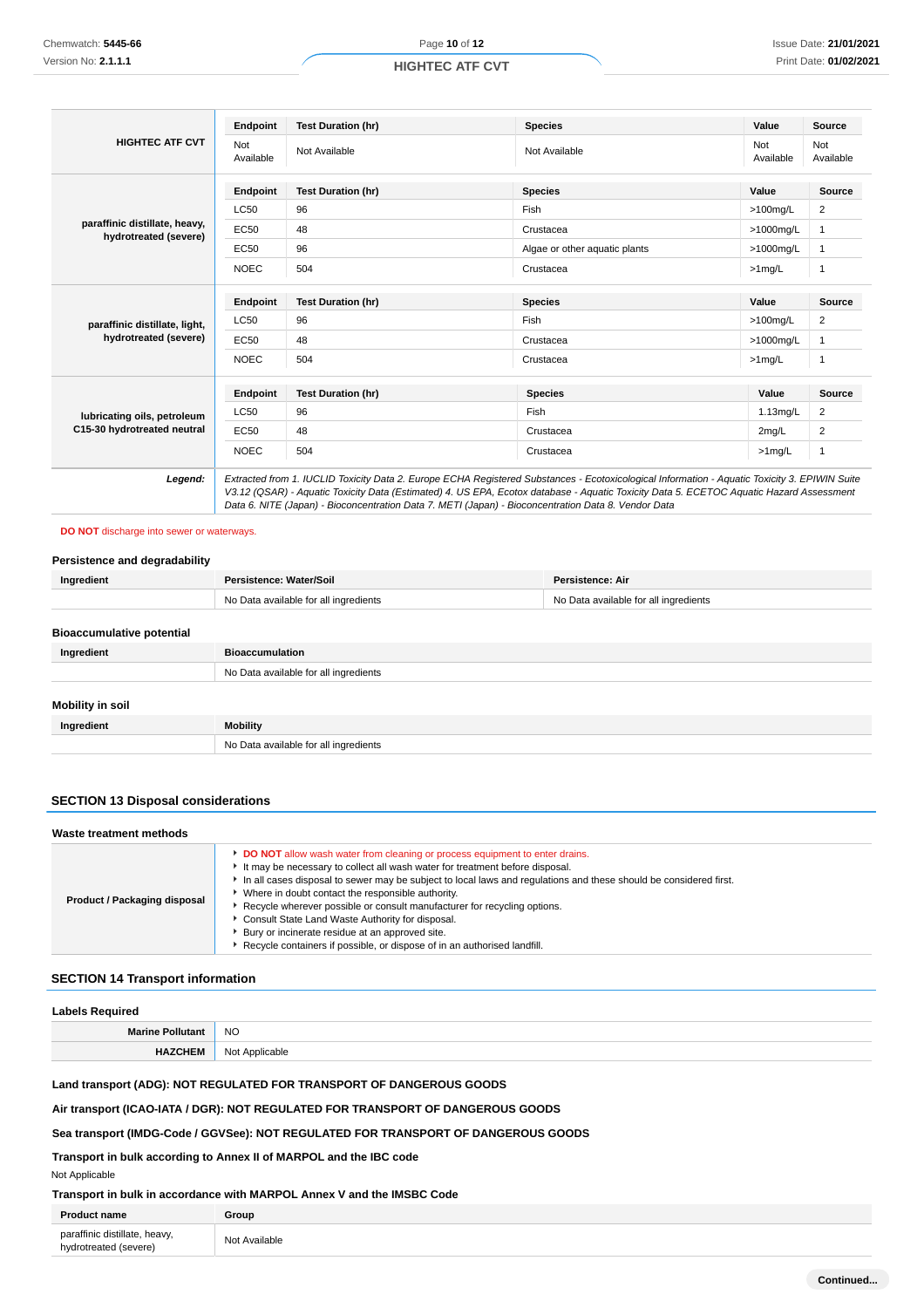## **HIGHTEC ATF CVT**

|                                                            | Endpoint                | <b>Test Duration (hr)</b>                                                                                                                                                                                                                                                                                                                                                                       | <b>Species</b>                | Value            | Source           |
|------------------------------------------------------------|-------------------------|-------------------------------------------------------------------------------------------------------------------------------------------------------------------------------------------------------------------------------------------------------------------------------------------------------------------------------------------------------------------------------------------------|-------------------------------|------------------|------------------|
| <b>HIGHTEC ATF CVT</b>                                     | <b>Not</b><br>Available | Not Available                                                                                                                                                                                                                                                                                                                                                                                   | Not Available                 | Not<br>Available | Not<br>Available |
|                                                            | Endpoint                | <b>Test Duration (hr)</b>                                                                                                                                                                                                                                                                                                                                                                       | <b>Species</b>                | Value            | <b>Source</b>    |
|                                                            | <b>LC50</b>             | 96                                                                                                                                                                                                                                                                                                                                                                                              | Fish                          | $>100$ mg/L      | 2                |
| paraffinic distillate, heavy,<br>hydrotreated (severe)     | EC50                    | 48                                                                                                                                                                                                                                                                                                                                                                                              | Crustacea                     | >1000mg/L        | 1                |
|                                                            | EC50                    | 96                                                                                                                                                                                                                                                                                                                                                                                              | Algae or other aquatic plants | >1000mg/L        | $\mathbf{1}$     |
|                                                            | <b>NOEC</b>             | 504                                                                                                                                                                                                                                                                                                                                                                                             | Crustacea                     | $>1$ mg/L        | 1                |
| paraffinic distillate, light,<br>hydrotreated (severe)     | Endpoint                | <b>Test Duration (hr)</b>                                                                                                                                                                                                                                                                                                                                                                       | <b>Species</b>                | Value            | <b>Source</b>    |
|                                                            | <b>LC50</b>             | 96                                                                                                                                                                                                                                                                                                                                                                                              | Fish                          | $>100$ mg/L      | 2                |
|                                                            | EC50                    | 48                                                                                                                                                                                                                                                                                                                                                                                              | Crustacea                     | >1000mg/L        | 1                |
|                                                            | <b>NOEC</b>             | 504                                                                                                                                                                                                                                                                                                                                                                                             | Crustacea                     | $>1$ mg/L        | $\mathbf 1$      |
|                                                            | Endpoint                | <b>Test Duration (hr)</b>                                                                                                                                                                                                                                                                                                                                                                       | <b>Species</b>                | Value            | <b>Source</b>    |
| lubricating oils, petroleum<br>C15-30 hydrotreated neutral | <b>LC50</b>             | 96                                                                                                                                                                                                                                                                                                                                                                                              | Fish                          | $1.13$ mg/L      | 2                |
|                                                            | EC50                    | 48                                                                                                                                                                                                                                                                                                                                                                                              | Crustacea                     | 2mg/L            | 2                |
|                                                            | <b>NOEC</b>             | 504                                                                                                                                                                                                                                                                                                                                                                                             | Crustacea                     | $>1$ mg/L        | $\mathbf{1}$     |
| Legend:                                                    |                         | Extracted from 1. IUCLID Toxicity Data 2. Europe ECHA Registered Substances - Ecotoxicological Information - Aquatic Toxicity 3. EPIWIN Suite<br>V3.12 (QSAR) - Aquatic Toxicity Data (Estimated) 4. US EPA, Ecotox database - Aquatic Toxicity Data 5. ECETOC Aquatic Hazard Assessment<br>Data 6. NITE (Japan) - Bioconcentration Data 7. METI (Japan) - Bioconcentration Data 8. Vendor Data |                               |                  |                  |

#### **DO NOT** discharge into sewer or waterways.

## **Persistence and degradability**

| Ingredient                       | Persistence: Water/Soil               | Persistence: Air                      |
|----------------------------------|---------------------------------------|---------------------------------------|
|                                  | No Data available for all ingredients | No Data available for all ingredients |
|                                  |                                       |                                       |
| <b>Bioaccumulative potential</b> |                                       |                                       |
| Ingredient                       | <b>Bioaccumulation</b>                |                                       |
|                                  | No Data available for all ingredients |                                       |
|                                  |                                       |                                       |
| Mobility in soil                 |                                       |                                       |
| Ingredient                       | <b>Mobility</b>                       |                                       |
|                                  | No Data available for all ingredients |                                       |

## **SECTION 13 Disposal considerations**

| Waste treatment methods      |                                                                                                                                                                                                                                                                                                                                                                                                                                                                                                                                                                                                             |  |
|------------------------------|-------------------------------------------------------------------------------------------------------------------------------------------------------------------------------------------------------------------------------------------------------------------------------------------------------------------------------------------------------------------------------------------------------------------------------------------------------------------------------------------------------------------------------------------------------------------------------------------------------------|--|
| Product / Packaging disposal | <b>DO NOT</b> allow wash water from cleaning or process equipment to enter drains.<br>It may be necessary to collect all wash water for treatment before disposal.<br>In all cases disposal to sewer may be subject to local laws and regulations and these should be considered first.<br>Where in doubt contact the responsible authority.<br>Recycle wherever possible or consult manufacturer for recycling options.<br>Consult State Land Waste Authority for disposal.<br>Bury or incinerate residue at an approved site.<br>Recycle containers if possible, or dispose of in an authorised landfill. |  |

## **SECTION 14 Transport information**

# **Labels Required Marine Pollutant** NO

**HAZCHEM** Not Applicable

## **Land transport (ADG): NOT REGULATED FOR TRANSPORT OF DANGEROUS GOODS**

## **Air transport (ICAO-IATA / DGR): NOT REGULATED FOR TRANSPORT OF DANGEROUS GOODS**

## **Sea transport (IMDG-Code / GGVSee): NOT REGULATED FOR TRANSPORT OF DANGEROUS GOODS**

**Transport in bulk according to Annex II of MARPOL and the IBC code**

#### Not Applicable

## **Transport in bulk in accordance with MARPOL Annex V and the IMSBC Code**

| <b>Product name</b>                                    | Group         |
|--------------------------------------------------------|---------------|
| paraffinic distillate, heavy,<br>hydrotreated (severe) | Not Available |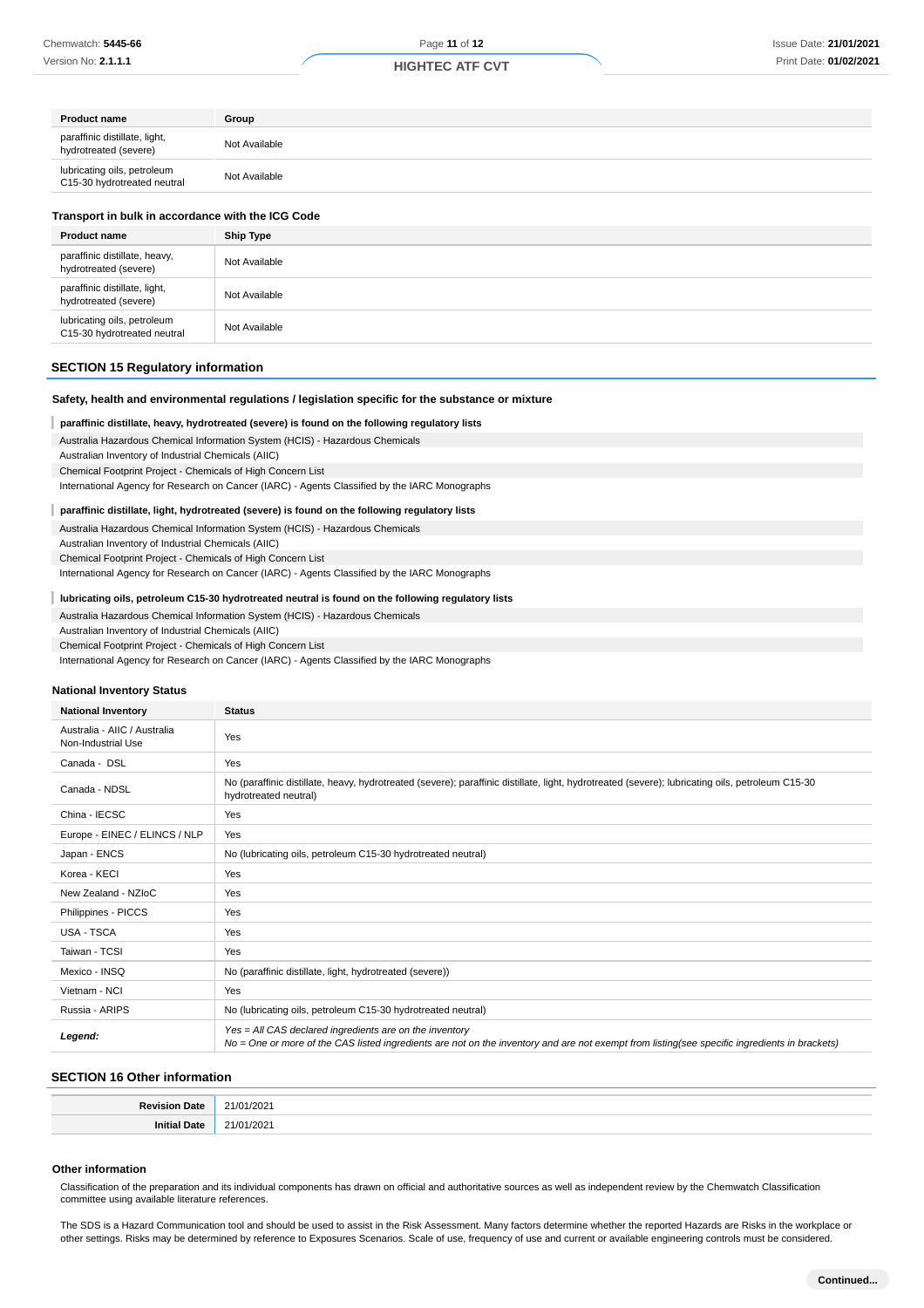| Group         |
|---------------|
| Not Available |
| Not Available |
|               |

| Transport in bulk in accordance with the ICG Code          |                  |
|------------------------------------------------------------|------------------|
| <b>Product name</b>                                        | <b>Ship Type</b> |
| paraffinic distillate, heavy,<br>hydrotreated (severe)     | Not Available    |
| paraffinic distillate, light,<br>hydrotreated (severe)     | Not Available    |
| lubricating oils, petroleum<br>C15-30 hydrotreated neutral | Not Available    |

### **SECTION 15 Regulatory information**

## **Safety, health and environmental regulations / legislation specific for the substance or mixture**

#### I **paraffinic distillate, heavy, hydrotreated (severe) is found on the following regulatory lists**

Australia Hazardous Chemical Information System (HCIS) - Hazardous Chemicals

Australian Inventory of Industrial Chemicals (AIIC)

Chemical Footprint Project - Chemicals of High Concern List

International Agency for Research on Cancer (IARC) - Agents Classified by the IARC Monographs

#### ı **paraffinic distillate, light, hydrotreated (severe) is found on the following regulatory lists**

Australia Hazardous Chemical Information System (HCIS) - Hazardous Chemicals

Australian Inventory of Industrial Chemicals (AIIC)

Chemical Footprint Project - Chemicals of High Concern List

International Agency for Research on Cancer (IARC) - Agents Classified by the IARC Monographs

#### ı **lubricating oils, petroleum C15-30 hydrotreated neutral is found on the following regulatory lists**

Australia Hazardous Chemical Information System (HCIS) - Hazardous Chemicals

Australian Inventory of Industrial Chemicals (AIIC)

Chemical Footprint Project - Chemicals of High Concern List

International Agency for Research on Cancer (IARC) - Agents Classified by the IARC Monographs

#### **National Inventory Status**

| <b>National Inventory</b>                          | <b>Status</b>                                                                                                                                                                                            |
|----------------------------------------------------|----------------------------------------------------------------------------------------------------------------------------------------------------------------------------------------------------------|
| Australia - AIIC / Australia<br>Non-Industrial Use | Yes                                                                                                                                                                                                      |
| Canada - DSL                                       | Yes                                                                                                                                                                                                      |
| Canada - NDSL                                      | No (paraffinic distillate, heavy, hydrotreated (severe); paraffinic distillate, light, hydrotreated (severe); lubricating oils, petroleum C15-30<br>hydrotreated neutral)                                |
| China - IECSC                                      | Yes                                                                                                                                                                                                      |
| Europe - EINEC / ELINCS / NLP                      | Yes                                                                                                                                                                                                      |
| Japan - ENCS                                       | No (lubricating oils, petroleum C15-30 hydrotreated neutral)                                                                                                                                             |
| Korea - KECI                                       | Yes                                                                                                                                                                                                      |
| New Zealand - NZIoC                                | Yes                                                                                                                                                                                                      |
| Philippines - PICCS                                | Yes                                                                                                                                                                                                      |
| USA - TSCA                                         | Yes                                                                                                                                                                                                      |
| Taiwan - TCSI                                      | Yes                                                                                                                                                                                                      |
| Mexico - INSQ                                      | No (paraffinic distillate, light, hydrotreated (severe))                                                                                                                                                 |
| Vietnam - NCI                                      | Yes                                                                                                                                                                                                      |
| Russia - ARIPS                                     | No (lubricating oils, petroleum C15-30 hydrotreated neutral)                                                                                                                                             |
| Legend:                                            | Yes = All CAS declared ingredients are on the inventory<br>No = One or more of the CAS listed ingredients are not on the inventory and are not exempt from listing(see specific ingredients in brackets) |

## **SECTION 16 Other information**

#### **Other information**

Classification of the preparation and its individual components has drawn on official and authoritative sources as well as independent review by the Chemwatch Classification committee using available literature references.

The SDS is a Hazard Communication tool and should be used to assist in the Risk Assessment. Many factors determine whether the reported Hazards are Risks in the workplace or other settings. Risks may be determined by reference to Exposures Scenarios. Scale of use, frequency of use and current or available engineering controls must be considered.